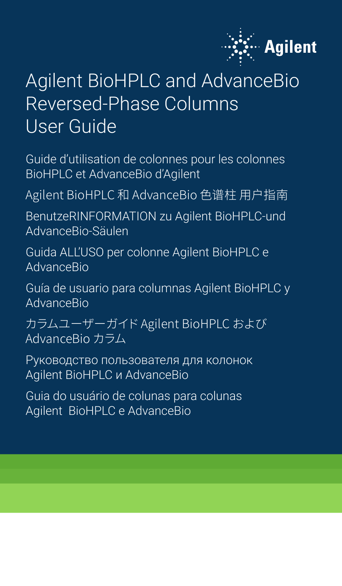

# Agilent BioHPLC and AdvanceBio Reversed-Phase Columns User Guide

Guide d'utilisation de colonnes pour les colonnes BioHPLC et AdvanceBio d'Agilent

Agilent BioHPLC 和 AdvanceBio 色谱柱 用户指南

BenutzeRINFORMATION zu Agilent BioHPLC-und AdvanceBio-Säulen

Guida ALL'USO per colonne Agilent BioHPLC e AdvanceBio

Guía de usuario para columnas Agilent BioHPLC y AdvanceBio

カラムユーザーガイド Agilent BioHPLC および AdvanceBio カラム

Руководство пользователя для колонок Agilent BioHPLC и AdvanceBio

Guia do usuário de colunas para colunas Agilent BioHPLC e AdvanceBio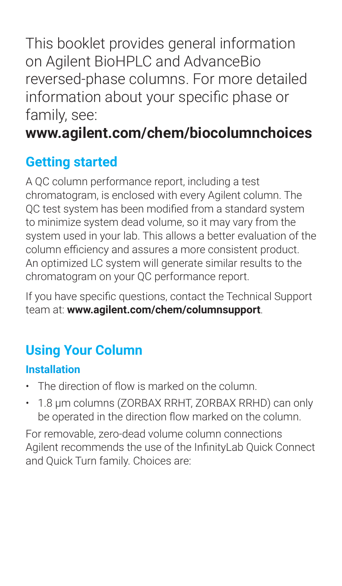This booklet provides general information on Agilent BioHPLC and AdvanceBio reversed-phase columns. For more detailed information about your specific phase or family, see:

## **www.agilent.com/chem/biocolumnchoices**

## **Getting started**

A QC column performance report, including a test chromatogram, is enclosed with every Agilent column. The QC test system has been modified from a standard system to minimize system dead volume, so it may vary from the system used in your lab. This allows a better evaluation of the column efficiency and assures a more consistent product. An optimized LC system will generate similar results to the chromatogram on your QC performance report.

If you have specific questions, contact the Technical Support team at: **[www.agilent.com/chem/columnsupport](http://www.agilent.com/chem/columnsupport)**.

## **Using Your Column**

#### **Installation**

- The direction of flow is marked on the column.
- 1.8 µm columns (ZORBAX RRHT, ZORBAX RRHD) can only be operated in the direction flow marked on the column.

For removable, zero-dead volume column connections Agilent recommends the use of the InfinityLab Quick Connect and Quick Turn family. Choices are: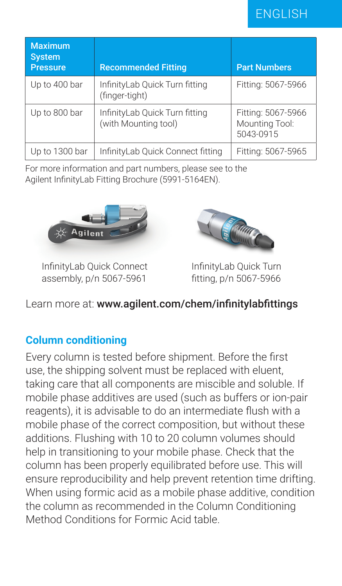### ENGLISH

| <b>Maximum</b><br><b>System</b><br><b>Pressure</b> | <b>Recommended Fitting</b>                             | <b>Part Numbers</b>                               |
|----------------------------------------------------|--------------------------------------------------------|---------------------------------------------------|
| Up to 400 bar                                      | InfinityLab Quick Turn fitting<br>(finger-tight)       | Fitting: 5067-5966                                |
| Up to 800 bar                                      | InfinityLab Quick Turn fitting<br>(with Mounting tool) | Fitting: 5067-5966<br>Mounting Tool:<br>5043-0915 |
| Up to 1300 bar                                     | InfinityLab Quick Connect fitting                      | Fitting: 5067-5965                                |

For more information and part numbers, please see to the Agilent InfinityLab Fitting Brochure (5991-5164EN).



InfinityLab Quick Connect assembly, p/n 5067-5961



InfinityLab Quick Turn fitting, p/n 5067-5966

Learn more at: www.agilent.com/chem/infinitylabfittings

#### **Column conditioning**

Every column is tested before shipment. Before the first use, the shipping solvent must be replaced with eluent, taking care that all components are miscible and soluble. If mobile phase additives are used (such as buffers or ion-pair reagents), it is advisable to do an intermediate flush with a mobile phase of the correct composition, but without these additions. Flushing with 10 to 20 column volumes should help in transitioning to your mobile phase. Check that the column has been properly equilibrated before use. This will ensure reproducibility and help prevent retention time drifting. When using formic acid as a mobile phase additive, condition the column as recommended in the Column Conditioning Method Conditions for Formic Acid table.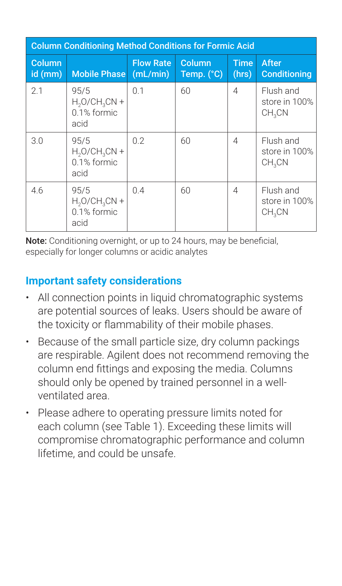| <b>Column Conditioning Method Conditions for Formic Acid</b> |                                                |                              |                      |                      |                                                  |
|--------------------------------------------------------------|------------------------------------------------|------------------------------|----------------------|----------------------|--------------------------------------------------|
| Column<br>id (mm)                                            | <b>Mobile Phase</b>                            | <b>Flow Rate</b><br>(mL/min) | Column<br>Temp. (°C) | <b>Time</b><br>(hrs) | After<br>Conditioning                            |
| 2.1                                                          | 95/5<br>$H2O/CH2CN +$<br>0.1% formic<br>acid   | 0.1                          | 60                   | $\overline{4}$       | Flush and<br>store in 100%<br>CH <sub>2</sub> CN |
| 3.0                                                          | 95/5<br>$H_2O/CH_3CN +$<br>0.1% formic<br>acid | 0.2                          | 60                   | $\overline{4}$       | Flush and<br>store in 100%<br>CH <sub>2</sub> CN |
| 4.6                                                          | 95/5<br>$H_2O/CH_3CN +$<br>0.1% formic<br>acid | 0.4                          | 60                   | $\overline{4}$       | Flush and<br>store in 100%<br>CH <sub>2</sub> CN |

Note: Conditioning overnight, or up to 24 hours, may be beneficial. especially for longer columns or acidic analytes

#### **Important safety considerations**

- All connection points in liquid chromatographic systems are potential sources of leaks. Users should be aware of the toxicity or flammability of their mobile phases.
- Because of the small particle size, dry column packings are respirable. Agilent does not recommend removing the column end fittings and exposing the media. Columns should only be opened by trained personnel in a wellventilated area.
- Please adhere to operating pressure limits noted for each column (see Table 1). Exceeding these limits will compromise chromatographic performance and column lifetime, and could be unsafe.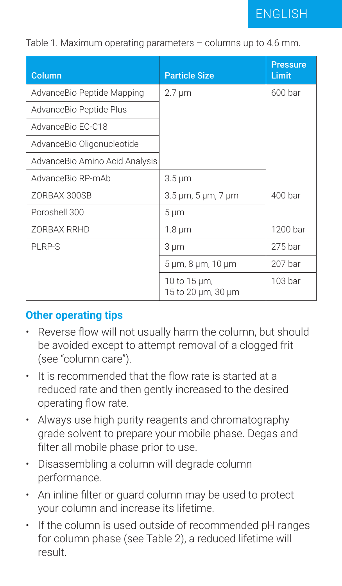Table 1. Maximum operating parameters – columns up to 4.6 mm.

| Column                         | <b>Particle Size</b>               | <b>Pressure</b><br>Limit |
|--------------------------------|------------------------------------|--------------------------|
| AdvanceBio Peptide Mapping     | $2.7 \mu m$                        | 600 bar                  |
| AdvanceBio Peptide Plus        |                                    |                          |
| AdvanceBio EC-C18              |                                    |                          |
| AdvanceBio Oligonucleotide     |                                    |                          |
| AdvanceBio Amino Acid Analysis |                                    |                          |
| AdvanceBio RP-mAb              | $3.5 \,\mathrm{\upmu m}$           |                          |
| ZORBAX 300SB                   | 3.5 µm, 5 µm, 7 µm                 | $400$ bar                |
| Poroshell 300                  | $5 \mu m$                          |                          |
| <b>70RBAX RRHD</b>             | 1.8 µm                             | 1200 bar                 |
| PI RP-S                        | 3 µm                               | 275 bar                  |
|                                | 5 µm, 8 µm, 10 µm                  | 207 bar                  |
|                                | 10 to 15 µm,<br>15 to 20 µm, 30 µm | 103 <sub>bar</sub>       |

#### **Other operating tips**

- Reverse flow will not usually harm the column, but should be avoided except to attempt removal of a clogged frit (see "column care").
- It is recommended that the flow rate is started at a reduced rate and then gently increased to the desired operating flow rate.
- Always use high purity reagents and chromatography grade solvent to prepare your mobile phase. Degas and filter all mobile phase prior to use.
- Disassembling a column will degrade column performance.
- An inline filter or guard column may be used to protect your column and increase its lifetime.
- If the column is used outside of recommended pH ranges for column phase (see Table 2), a reduced lifetime will result.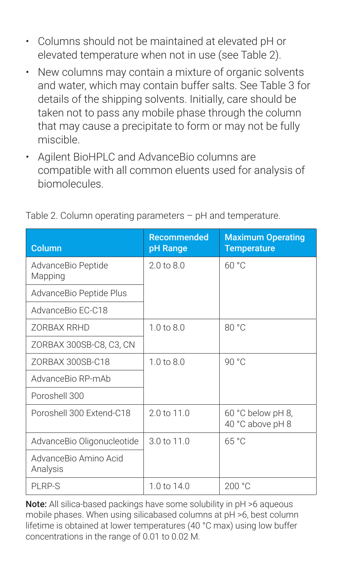- Columns should not be maintained at elevated pH or elevated temperature when not in use (see Table 2).
- New columns may contain a mixture of organic solvents and water, which may contain buffer salts. See Table 3 for details of the shipping solvents. Initially, care should be taken not to pass any mobile phase through the column that may cause a precipitate to form or may not be fully miscible.
- Agilent BioHPLC and AdvanceBio columns are compatible with all common eluents used for analysis of biomolecules.

| Column                            | Recommended<br>pH Range | <b>Maximum Operating</b><br><b>Temperature</b> |
|-----------------------------------|-------------------------|------------------------------------------------|
| AdvanceBio Peptide<br>Mapping     | $2.0 \text{ to } 8.0$   | 60 °C                                          |
| AdvanceBio Peptide Plus           |                         |                                                |
| AdvanceBio EC-C18                 |                         |                                                |
| <b>70RBAX RRHD</b>                | $1.0 \text{ to } 8.0$   | 80 °C                                          |
| ZORBAX 300SB-C8, C3, CN           |                         |                                                |
| ZORBAX 300SB-C18                  | 1.0 to 8.0              | 90 °C                                          |
| AdvanceBio RP-mAb                 |                         |                                                |
| Poroshell 300                     |                         |                                                |
| Poroshell 300 Extend-C18          | 2.0 to 11.0             | 60 °C below pH 8,<br>40 °C above pH 8          |
| AdvanceBio Oligonucleotide        | 3.0 to 11.0             | 65 °C                                          |
| AdvanceBio Amino Acid<br>Analysis |                         |                                                |
| PI RP-S                           | $1.0$ to $14.0$         | 200 °C                                         |

Table 2. Column operating parameters – pH and temperature.

Note: All silica-based packings have some solubility in pH >6 aqueous mobile phases. When using silicabased columns at pH >6, best column lifetime is obtained at lower temperatures (40 °C max) using low buffer concentrations in the range of 0.01 to 0.02 M.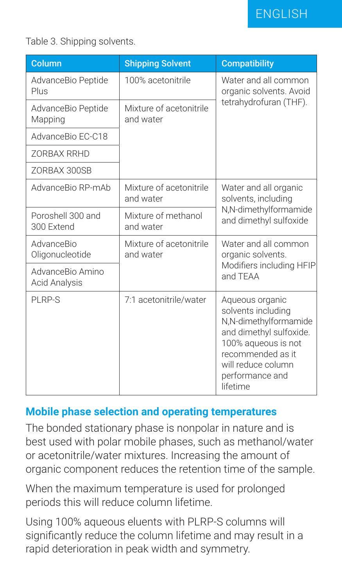Table 3. Shipping solvents.

| Column                                   | <b>Shipping Solvent</b>              | <b>Compatibility</b>                                                                                                                                                                       |  |
|------------------------------------------|--------------------------------------|--------------------------------------------------------------------------------------------------------------------------------------------------------------------------------------------|--|
| AdvanceBio Peptide<br>Plus               | 100% acetonitrile                    | Water and all common<br>organic solvents. Avoid                                                                                                                                            |  |
| AdvanceBio Peptide<br>Mapping            | Mixture of acetonitrile<br>and water | tetrahydrofuran (THF).                                                                                                                                                                     |  |
| AdvanceBio FC-C18                        |                                      |                                                                                                                                                                                            |  |
| <b>70RBAX RRHD</b>                       |                                      |                                                                                                                                                                                            |  |
| ZORBAX 300SB                             |                                      |                                                                                                                                                                                            |  |
| AdvanceBio RP-mAb                        | Mixture of acetonitrile<br>and water | Water and all organic<br>solvents, including                                                                                                                                               |  |
| Poroshell 300 and<br>300 Extend          | Mixture of methanol<br>and water     | N,N-dimethylformamide<br>and dimethyl sulfoxide                                                                                                                                            |  |
| AdvanceBio<br>Oligonucleotide            | Mixture of acetonitrile<br>and water | Water and all common<br>organic solvents.                                                                                                                                                  |  |
| AdvanceBio Amino<br><b>Acid Analysis</b> |                                      | Modifiers including HFIP<br>and TFAA                                                                                                                                                       |  |
| PI RP-S                                  | 7:1 acetonitrile/water               | Aqueous organic<br>solvents including<br>N,N-dimethylformamide<br>and dimethyl sulfoxide.<br>100% aqueous is not<br>recommended as it<br>will reduce column<br>performance and<br>lifetime |  |

#### **Mobile phase selection and operating temperatures**

The bonded stationary phase is nonpolar in nature and is best used with polar mobile phases, such as methanol/water or acetonitrile/water mixtures. Increasing the amount of organic component reduces the retention time of the sample.

When the maximum temperature is used for prolonged periods this will reduce column lifetime.

Using 100% aqueous eluents with PLRP-S columns will significantly reduce the column lifetime and may result in a rapid deterioration in peak width and symmetry.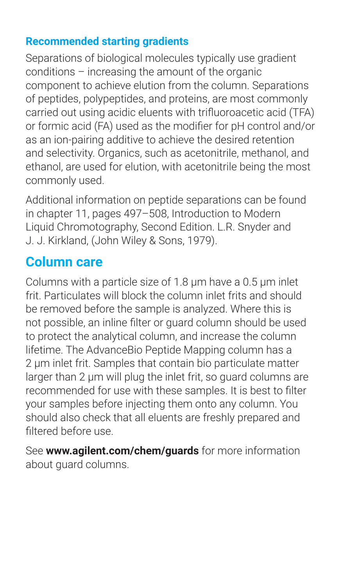#### **Recommended starting gradients**

Separations of biological molecules typically use gradient conditions – increasing the amount of the organic component to achieve elution from the column. Separations of peptides, polypeptides, and proteins, are most commonly carried out using acidic eluents with trifluoroacetic acid (TFA) or formic acid (FA) used as the modifier for pH control and/or as an ion-pairing additive to achieve the desired retention and selectivity. Organics, such as acetonitrile, methanol, and ethanol, are used for elution, with acetonitrile being the most commonly used.

Additional information on peptide separations can be found in chapter 11, pages 497–508, Introduction to Modern Liquid Chromotography, Second Edition. L.R. Snyder and J. J. Kirkland, (John Wiley & Sons, 1979).

### **Column care**

Columns with a particle size of 1.8 µm have a 0.5 µm inlet frit. Particulates will block the column inlet frits and should be removed before the sample is analyzed. Where this is not possible, an inline filter or guard column should be used to protect the analytical column, and increase the column lifetime. The AdvanceBio Peptide Mapping column has a 2 um inlet frit. Samples that contain bio particulate matter larger than 2 μm will plug the inlet frit, so guard columns are recommended for use with these samples. It is best to filter your samples before injecting them onto any column. You should also check that all eluents are freshly prepared and filtered before use.

See **[www.agilent.com/chem/guards](http://www.agilent.com/chem/guards)** for more information about guard columns.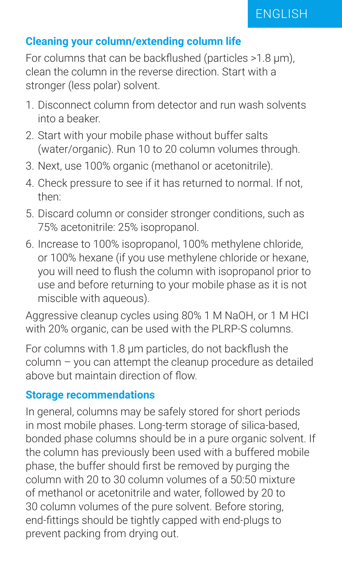#### **Cleaning your column/extending column life**

For columns that can be backflushed (particles >1.8 um). clean the column in the reverse direction. Start with a stronger (less polar) solvent.

- 1. Disconnect column from detector and run wash solvents into a beaker.
- 2. Start with your mobile phase without buffer salts (water/organic). Run 10 to 20 column volumes through.
- 3. Next, use 100% organic (methanol or acetonitrile).
- 4. Check pressure to see if it has returned to normal. If not, then:
- 5. Discard column or consider stronger conditions, such as 75% acetonitrile: 25% isopropanol.
- 6. Increase to 100% isopropanol, 100% methylene chloride, or 100% hexane (if you use methylene chloride or hexane, you will need to flush the column with isopropanol prior to use and before returning to your mobile phase as it is not miscible with aqueous).

Aggressive cleanup cycles using 80% 1 M NaOH, or 1 M HCI with 20% organic, can be used with the PLRP-S columns.

For columns with 1.8 µm particles, do not backflush the column – you can attempt the cleanup procedure as detailed above but maintain direction of flow.

#### **Storage recommendations**

In general, columns may be safely stored for short periods in most mobile phases. Long-term storage of silica-based, bonded phase columns should be in a pure organic solvent. If the column has previously been used with a buffered mobile phase, the buffer should first be removed by purging the column with 20 to 30 column volumes of a 50:50 mixture of methanol or acetonitrile and water, followed by 20 to 30 column volumes of the pure solvent. Before storing, end-fittings should be tightly capped with end-plugs to prevent packing from drying out.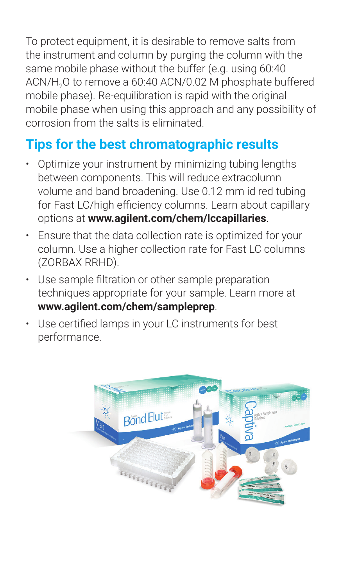To protect equipment, it is desirable to remove salts from the instrument and column by purging the column with the same mobile phase without the buffer (e.g. using 60:40 ACN/H2O to remove a 60:40 ACN/0.02 M phosphate buffered mobile phase). Re-equilibration is rapid with the original mobile phase when using this approach and any possibility of corrosion from the salts is eliminated.

## **Tips for the best chromatographic results**

- Optimize your instrument by minimizing tubing lengths between components. This will reduce extracolumn volume and band broadening. Use 0.12 mm id red tubing for Fast LC/high efficiency columns. Learn about capillary options at **[www.agilent.com/chem/lccapillaries](http://www.agilent.com/chem/lccapillaries)**.
- Ensure that the data collection rate is optimized for your column. Use a higher collection rate for Fast LC columns (ZORBAX RRHD).
- Use sample filtration or other sample preparation techniques appropriate for your sample. Learn more at **[www.agilent.com/chem/sampleprep](http://www.agilent.com/chem/sampleprep)**.
- Use certified lamps in your LC instruments for best performance.

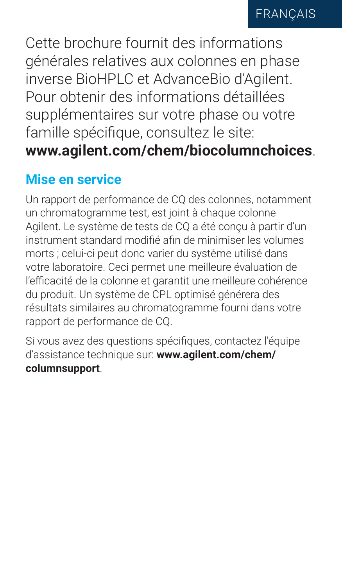Cette brochure fournit des informations générales relatives aux colonnes en phase inverse BioHPLC et AdvanceBio d'Agilent. Pour obtenir des informations détaillées supplémentaires sur votre phase ou votre famille spécifique, consultez le site: **www.agilent.com/chem/biocolumnchoices**.

### **Mise en service**

Un rapport de performance de CQ des colonnes, notamment un chromatogramme test, est joint à chaque colonne Agilent. Le système de tests de CQ a été conçu à partir d'un instrument standard modifié afin de minimiser les volumes morts ; celui-ci peut donc varier du système utilisé dans votre laboratoire. Ceci permet une meilleure évaluation de l'efficacité de la colonne et garantit une meilleure cohérence du produit. Un système de CPL optimisé générera des résultats similaires au chromatogramme fourni dans votre rapport de performance de CQ.

Si vous avez des questions spécifiques, contactez l'équipe d'assistance technique sur: **[www.agilent.com/chem/](http://www.agilent.com/chem/columnsupport) [columnsupport](http://www.agilent.com/chem/columnsupport)**.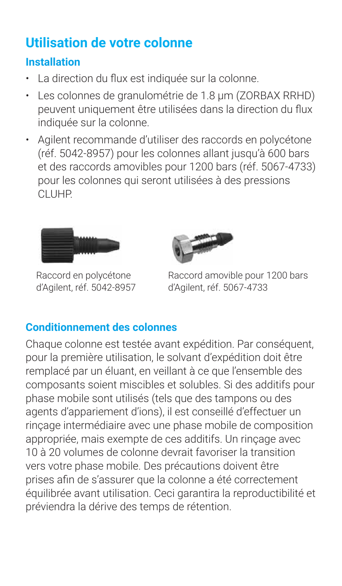## **Utilisation de votre colonne**

#### **Installation**

- La direction du flux est indiquée sur la colonne.
- Les colonnes de granulométrie de 1.8 µm (ZORBAX RRHD) peuvent uniquement être utilisées dans la direction du flux indiquée sur la colonne.
- Agilent recommande d'utiliser des raccords en polycétone (réf. 5042-8957) pour les colonnes allant jusqu'à 600 bars et des raccords amovibles pour 1200 bars (réf. 5067-4733) pour les colonnes qui seront utilisées à des pressions CLUHP.



Raccord en polycétone d'Agilent, réf. 5042-8957



Raccord amovible pour 1200 bars d'Agilent, réf. 5067-4733

#### **Conditionnement des colonnes**

Chaque colonne est testée avant expédition. Par conséquent, pour la première utilisation, le solvant d'expédition doit être remplacé par un éluant, en veillant à ce que l'ensemble des composants soient miscibles et solubles. Si des additifs pour phase mobile sont utilisés (tels que des tampons ou des agents d'appariement d'ions), il est conseillé d'effectuer un rinçage intermédiaire avec une phase mobile de composition appropriée, mais exempte de ces additifs. Un rinçage avec 10 à 20 volumes de colonne devrait favoriser la transition vers votre phase mobile. Des précautions doivent être prises afin de s'assurer que la colonne a été correctement équilibrée avant utilisation. Ceci garantira la reproductibilité et préviendra la dérive des temps de rétention.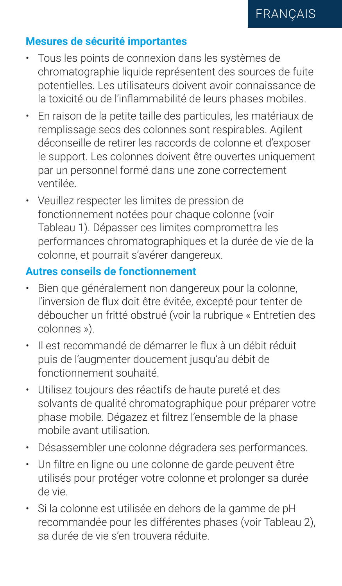#### **Mesures de sécurité importantes**

- Tous les points de connexion dans les systèmes de chromatographie liquide représentent des sources de fuite potentielles. Les utilisateurs doivent avoir connaissance de la toxicité ou de l'inflammabilité de leurs phases mobiles.
- En raison de la petite taille des particules, les matériaux de remplissage secs des colonnes sont respirables. Agilent déconseille de retirer les raccords de colonne et d'exposer le support. Les colonnes doivent être ouvertes uniquement par un personnel formé dans une zone correctement ventilée.
- Veuillez respecter les limites de pression de fonctionnement notées pour chaque colonne (voir Tableau 1). Dépasser ces limites compromettra les performances chromatographiques et la durée de vie de la colonne, et pourrait s'avérer dangereux.

#### **Autres conseils de fonctionnement**

- Bien que généralement non dangereux pour la colonne, l'inversion de flux doit être évitée, excepté pour tenter de déboucher un fritté obstrué (voir la rubrique « Entretien des colonnes »).
- Il est recommandé de démarrer le flux à un débit réduit puis de l'augmenter doucement jusqu'au débit de fonctionnement souhaité.
- Utilisez toujours des réactifs de haute pureté et des solvants de qualité chromatographique pour préparer votre phase mobile. Dégazez et filtrez l'ensemble de la phase mobile avant utilisation.
- Désassembler une colonne dégradera ses performances.
- Un filtre en ligne ou une colonne de garde peuvent être utilisés pour protéger votre colonne et prolonger sa durée de vie.
- Si la colonne est utilisée en dehors de la gamme de pH recommandée pour les différentes phases (voir Tableau 2), sa durée de vie s'en trouvera réduite.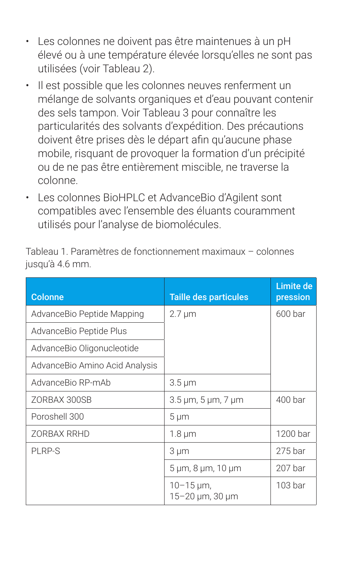- Les colonnes ne doivent pas être maintenues à un pH élevé ou à une température élevée lorsqu'elles ne sont pas utilisées (voir Tableau 2).
- Il est possible que les colonnes neuves renferment un mélange de solvants organiques et d'eau pouvant contenir des sels tampon. Voir Tableau 3 pour connaître les particularités des solvants d'expédition. Des précautions doivent être prises dès le départ afin qu'aucune phase mobile, risquant de provoquer la formation d'un précipité ou de ne pas être entièrement miscible, ne traverse la colonne.
- Les colonnes BioHPLC et AdvanceBio d'Agilent sont compatibles avec l'ensemble des éluants couramment utilisés pour l'analyse de biomolécules.

Tableau 1. Paramètres de fonctionnement maximaux – colonnes jusqu'à 4.6 mm.

| Colonne                        | <b>Taille des particules</b>     | Limite de<br>pression |
|--------------------------------|----------------------------------|-----------------------|
| AdvanceBio Peptide Mapping     | $2.7 \mu m$                      | 600 bar               |
| AdvanceBio Peptide Plus        |                                  |                       |
| AdvanceBio Oligonucleotide     |                                  |                       |
| AdvanceBio Amino Acid Analysis |                                  |                       |
| AdvanceBio RP-mAb              | $3.5 \,\mathrm{\upmu m}$         |                       |
| ZORBAX 300SB                   | 3.5 µm, 5 µm, 7 µm               | 400 bar               |
| Poroshell 300                  | $5 \mu m$                        |                       |
| <b>70RBAX RRHD</b>             | $1.8 \mu m$                      | 1200 bar              |
| PI RP-S                        | 3 µm                             | 275 bar               |
|                                | 5 µm, 8 µm, 10 µm                | 207 bar               |
|                                | $10 - 15$ µm,<br>15-20 µm, 30 µm | 103 bar               |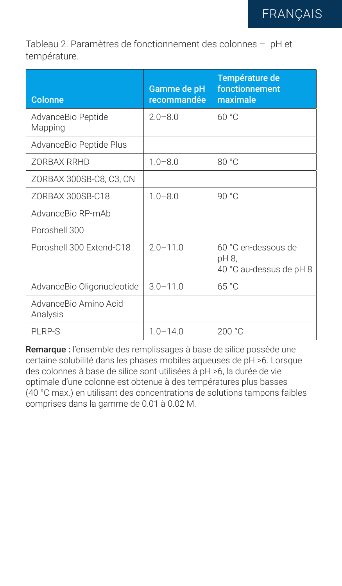Tableau 2. Paramètres de fonctionnement des colonnes – pH et température.

| Colonne                           | Gamme de pH<br>recommandée | Température de<br>fonctionnement<br>maximale            |
|-----------------------------------|----------------------------|---------------------------------------------------------|
| AdvanceBio Peptide<br>Mapping     | $2.0 - 8.0$                | 60 °C                                                   |
| AdvanceBio Peptide Plus           |                            |                                                         |
| <b>70RBAX RRHD</b>                | $1.0 - 8.0$                | 80 °C                                                   |
| ZORBAX 300SB-C8, C3, CN           |                            |                                                         |
| ZORBAX 300SB-C18                  | $1.0 - 8.0$                | 90 °C                                                   |
| AdvanceBio RP-mAb                 |                            |                                                         |
| Poroshell 300                     |                            |                                                         |
| Poroshell 300 Extend-C18          | $2.0 - 11.0$               | 60 °C en-dessous de<br>pH 8,<br>40 °C au-dessus de pH 8 |
| AdvanceBio Oligonucleotide        | $3.0 - 11.0$               | 65°C                                                    |
| AdvanceBio Amino Acid<br>Analysis |                            |                                                         |
| PI RP-S                           | $1.0 - 14.0$               | 200 °C                                                  |

Remarque : l'ensemble des remplissages à base de silice possède une certaine solubilité dans les phases mobiles aqueuses de pH >6. Lorsque des colonnes à base de silice sont utilisées à pH >6, la durée de vie optimale d'une colonne est obtenue à des températures plus basses (40 °C max.) en utilisant des concentrations de solutions tampons faibles comprises dans la gamme de 0.01 à 0.02 M.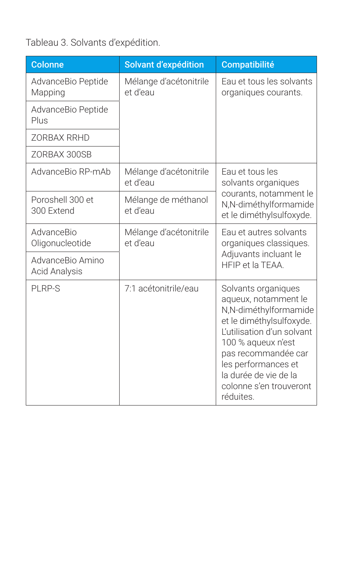Tableau 3. Solvants d'expédition.

| Colonne                           | Solvant d'expédition               | Compatibilité                                                                                                                                                                                                                                                       |  |
|-----------------------------------|------------------------------------|---------------------------------------------------------------------------------------------------------------------------------------------------------------------------------------------------------------------------------------------------------------------|--|
| AdvanceBio Peptide<br>Mapping     | Mélange d'acétonitrile<br>et d'eau | Fau et tous les solvants<br>organiques courants.                                                                                                                                                                                                                    |  |
| AdvanceBio Peptide<br>Plus        |                                    |                                                                                                                                                                                                                                                                     |  |
| <b>70RBAX RRHD</b>                |                                    |                                                                                                                                                                                                                                                                     |  |
| ZORBAX 300SB                      |                                    |                                                                                                                                                                                                                                                                     |  |
| AdvanceBio RP-mAb                 | Mélange d'acétonitrile<br>et d'eau | Eau et tous les<br>solvants organiques<br>courants, notamment le<br>N,N-diméthylformamide<br>et le diméthylsulfoxyde.                                                                                                                                               |  |
| Poroshell 300 et<br>300 Extend    | Mélange de méthanol<br>et d'eau    |                                                                                                                                                                                                                                                                     |  |
| AdvanceBio<br>Oligonucleotide     | Mélange d'acétonitrile<br>et d'eau | Eau et autres solvants<br>organiques classiques.<br>Adjuvants incluant le<br>HFIP et la TFAA.                                                                                                                                                                       |  |
| AdvanceBio Amino<br>Acid Analysis |                                    |                                                                                                                                                                                                                                                                     |  |
| PI RP-S                           | 7:1 acétonitrile/eau               | Solvants organiques<br>aqueux, notamment le<br>N,N-diméthylformamide<br>et le diméthylsulfoxyde.<br>l'utilisation d'un solvant<br>100 % aqueux n'est<br>pas recommandée car<br>les performances et<br>la durée de vie de la<br>colonne s'en trouveront<br>réduites. |  |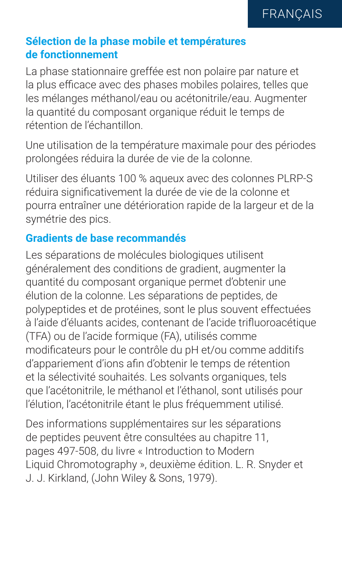#### **Sélection de la phase mobile et températures de fonctionnement**

La phase stationnaire greffée est non polaire par nature et la plus efficace avec des phases mobiles polaires, telles que les mélanges méthanol/eau ou acétonitrile/eau. Augmenter la quantité du composant organique réduit le temps de rétention de l'échantillon.

Une utilisation de la température maximale pour des périodes prolongées réduira la durée de vie de la colonne.

Utiliser des éluants 100 % aqueux avec des colonnes PLRP-S réduira significativement la durée de vie de la colonne et pourra entraîner une détérioration rapide de la largeur et de la symétrie des pics.

#### **Gradients de base recommandés**

Les séparations de molécules biologiques utilisent généralement des conditions de gradient, augmenter la quantité du composant organique permet d'obtenir une élution de la colonne. Les séparations de peptides, de polypeptides et de protéines, sont le plus souvent effectuées à l'aide d'éluants acides, contenant de l'acide trifluoroacétique (TFA) ou de l'acide formique (FA), utilisés comme modificateurs pour le contrôle du pH et/ou comme additifs d'appariement d'ions afin d'obtenir le temps de rétention et la sélectivité souhaités. Les solvants organiques, tels que l'acétonitrile, le méthanol et l'éthanol, sont utilisés pour l'élution, l'acétonitrile étant le plus fréquemment utilisé.

Des informations supplémentaires sur les séparations de peptides peuvent être consultées au chapitre 11, pages 497-508, du livre « Introduction to Modern Liquid Chromotography », deuxième édition. L. R. Snyder et J. J. Kirkland, (John Wiley & Sons, 1979).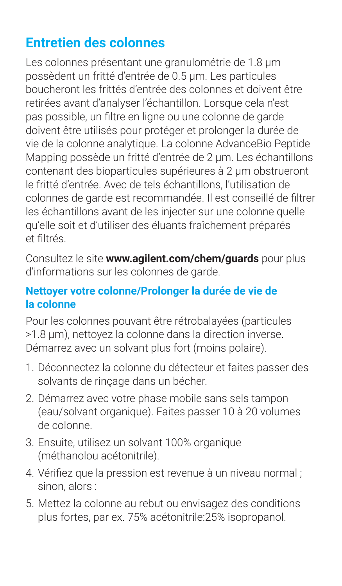### **Entretien des colonnes**

Les colonnes présentant une granulométrie de 1.8 um possèdent un fritté d'entrée de 0.5 µm. Les particules boucheront les frittés d'entrée des colonnes et doivent être retirées avant d'analyser l'échantillon. Lorsque cela n'est pas possible, un filtre en ligne ou une colonne de garde doivent être utilisés pour protéger et prolonger la durée de vie de la colonne analytique. La colonne AdvanceBio Peptide Mapping possède un fritté d'entrée de 2 µm. Les échantillons contenant des bioparticules supérieures à 2 µm obstrueront le fritté d'entrée. Avec de tels échantillons, l'utilisation de colonnes de garde est recommandée. Il est conseillé de filtrer les échantillons avant de les injecter sur une colonne quelle qu'elle soit et d'utiliser des éluants fraîchement préparés et filtrés.

Consultez le site **www.agilent.com/chem/guards** pour plus d'informations sur les colonnes de garde.

#### **Nettoyer votre colonne/Prolonger la durée de vie de la colonne**

Pour les colonnes pouvant être rétrobalayées (particules >1.8 µm), nettoyez la colonne dans la direction inverse. Démarrez avec un solvant plus fort (moins polaire).

- 1. Déconnectez la colonne du détecteur et faites passer des solvants de rinçage dans un bécher.
- 2. Démarrez avec votre phase mobile sans sels tampon (eau/solvant organique). Faites passer 10 à 20 volumes de colonne.
- 3. Ensuite, utilisez un solvant 100% organique (méthanolou acétonitrile).
- 4. Vérifiez que la pression est revenue à un niveau normal ; sinon, alors :
- 5. Mettez la colonne au rebut ou envisagez des conditions plus fortes, par ex. 75% acétonitrile:25% isopropanol.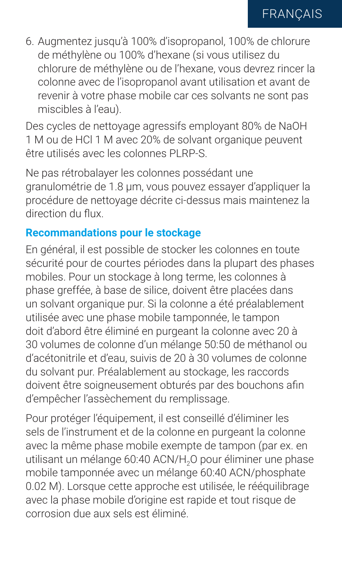6. Augmentez jusqu'à 100% d'isopropanol, 100% de chlorure de méthylène ou 100% d'hexane (si vous utilisez du chlorure de méthylène ou de l'hexane, vous devrez rincer la colonne avec de l'isopropanol avant utilisation et avant de revenir à votre phase mobile car ces solvants ne sont pas miscibles à l'eau).

Des cycles de nettoyage agressifs employant 80% de NaOH 1 M ou de HCl 1 M avec 20% de solvant organique peuvent être utilisés avec les colonnes PLRP-S.

Ne pas rétrobalayer les colonnes possédant une granulométrie de 1.8 µm, vous pouvez essayer d'appliquer la procédure de nettoyage décrite ci-dessus mais maintenez la direction du flux.

#### **Recommandations pour le stockage**

En général, il est possible de stocker les colonnes en toute sécurité pour de courtes périodes dans la plupart des phases mobiles. Pour un stockage à long terme, les colonnes à phase greffée, à base de silice, doivent être placées dans un solvant organique pur. Si la colonne a été préalablement utilisée avec une phase mobile tamponnée, le tampon doit d'abord être éliminé en purgeant la colonne avec 20 à 30 volumes de colonne d'un mélange 50:50 de méthanol ou d'acétonitrile et d'eau, suivis de 20 à 30 volumes de colonne du solvant pur. Préalablement au stockage, les raccords doivent être soigneusement obturés par des bouchons afin d'empêcher l'assèchement du remplissage.

Pour protéger l'équipement, il est conseillé d'éliminer les sels de l'instrument et de la colonne en purgeant la colonne avec la même phase mobile exempte de tampon (par ex. en utilisant un mélange 60:40 ACN/H<sub>2</sub>O pour éliminer une phase mobile tamponnée avec un mélange 60:40 ACN/phosphate 0.02 M). Lorsque cette approche est utilisée, le rééquilibrage avec la phase mobile d'origine est rapide et tout risque de corrosion due aux sels est éliminé.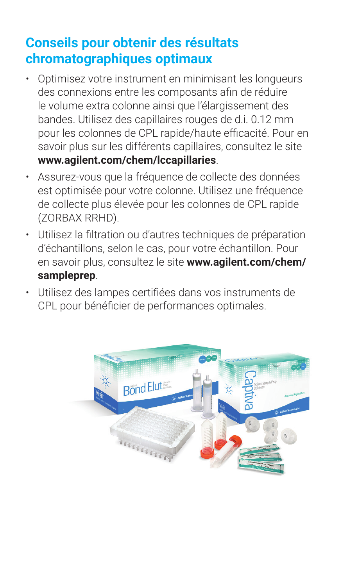### **Conseils pour obtenir des résultats chromatographiques optimaux**

- Optimisez votre instrument en minimisant les longueurs des connexions entre les composants afin de réduire le volume extra colonne ainsi que l'élargissement des bandes. Utilisez des capillaires rouges de d.i. 0.12 mm pour les colonnes de CPL rapide/haute efficacité. Pour en savoir plus sur les différents capillaires, consultez le site **www.agilent.com/chem/lccapillaries**.
- Assurez-vous que la fréquence de collecte des données est optimisée pour votre colonne. Utilisez une fréquence de collecte plus élevée pour les colonnes de CPL rapide (ZORBAX RRHD).
- Utilisez la filtration ou d'autres techniques de préparation d'échantillons, selon le cas, pour votre échantillon. Pour en savoir plus, consultez le site **www.agilent.com/chem/ sampleprep**.
- Utilisez des lampes certifiées dans vos instruments de CPL pour bénéficier de performances optimales.

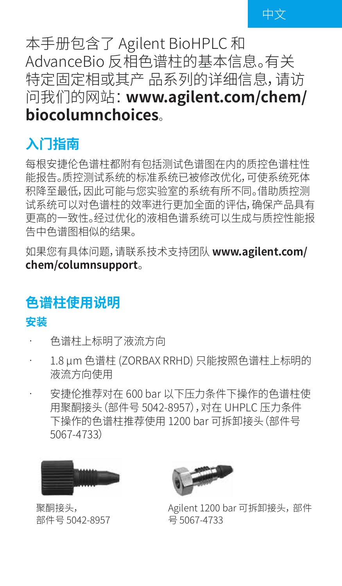本手册包含了 Agilent BioHPLC 和 AdvanceBio 反相色谱柱的基本信息。有关 特定固定相或其产 品系列的详细信息,请访 问我们的网站: **www.agilent.com/chem/ biocolumnchoices**。

## **入门指南**

每根安捷伦色谱柱都附有包括测试色谱图在内的质控色谱柱性 能报告。质控测试系统的标准系统已被修改优化,可使系统死体 积降至最低,因此可能与您实验室的系统有所不同。借助质控测 试系统可以对色谱柱的效率进行更加全面的评估,确保产品具有 更高的一致性。经过优化的液相色谱系统可以生成与质控性能报 告中色谱图相似的结果。

如果您有具体问题,请联系技术支持团队 **[www.agilent.com/](http://www.agilent.com/chem/columnsupport) [chem/columnsupport](http://www.agilent.com/chem/columnsupport)**。

## **色谱柱使用说明**

#### **安装**

- 色谱柱上标明了液流方向
- 1.8 µm 色谱柱 (ZORBAX RRHD) 只能按照色谱柱上标明的 液流方向使用
- 安捷伦推荐对在 600 bar 以下压力条件下操作的色谱柱使 用聚酮接头(部件号 5042-8957),对在 UHPLC 压力条件 下操作的色谱柱推荐使用 1200 bar 可拆卸接头(部件号 5067-4733)



聚酮接头, 部件号 5042-8957



Agilent 1200 bar 可拆卸接头, 部件 号 5067-4733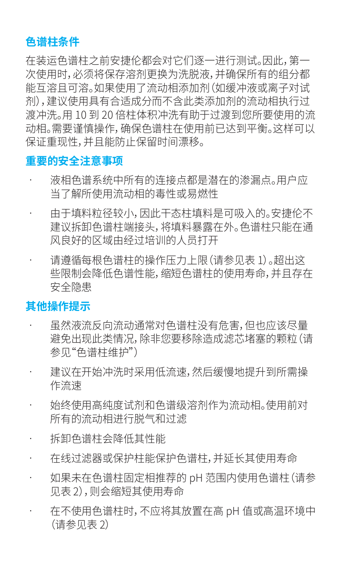#### **色谱柱条件**

在装运色谱柱之前安捷伦都会对它们逐一进行测试。因此,第一 次使用时,必须将保存溶剂更换为洗脱液,并确保所有的组分都 能互溶且可溶。如果使用了流动相添加剂(如缓冲液或离子对试 剂),建议使用具有合适成分而不含此类添加剂的流动相执行过 渡冲洗。用 10 到 20 倍柱体积冲洗有助于过渡到您所要使用的流 动相。需要谨慎操作,确保色谱柱在使用前已达到平衡。这样可以 保证重现性,并且能防止保留时间漂移。

#### **重要的安全注意事项**

- 液相色谱系统中所有的连接点都是潜在的渗漏点。用户应 当了解所使用流动相的毒性或易燃性
- 由于填料粒径较小,因此干态柱填料是可吸入的。安捷伦不 建议拆卸色谱柱端接头,将填料暴露在外。色谱柱只能在通 风良好的区域由经过培训的人员打开
- 请遵循每根色谱柱的操作压力上限(请参见表 1)。超出这 些限制会降低色谱性能,缩短色谱柱的使用寿命,并且存在 安全隐患

#### **其他操作提示**

- 虽然液流反向流动通常对色谱柱没有危害,但也应该尽量 避免出现此类情况,除非您要移除造成滤芯堵塞的颗粒(请 参见"色谱柱维护")
- 建议在开始冲洗时采用低流速,然后缓慢地提升到所需操 作流速
- 始终使用高纯度试剂和色谱级溶剂作为流动相。使用前对 所有的流动相进行脱气和过滤
- 拆卸色谱柱会降低其性能
- 在线过滤器或保护柱能保护色谱柱,并延长其使用寿命
- 如果未在色谱柱固定相推荐的 pH 范围内使用色谱柱(请参 见表 2),则会缩短其使用寿命
- 在不使用色谱柱时,不应将其放置在高 pH 值或高温环境中 (请参见表 2)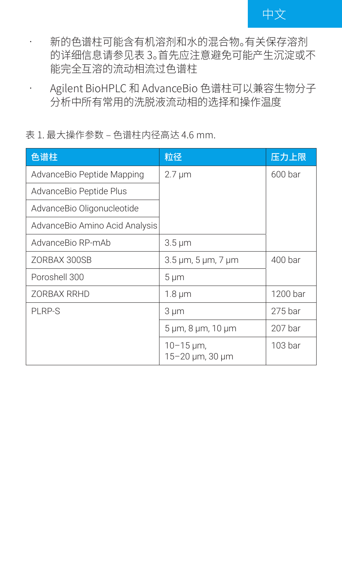- 新的色谱柱可能含有机溶剂和水的混合物。有关保存溶剂 的详细信息请参见表 3。首先应注意避免可能产生沉淀或不 能完全互溶的流动相流过色谱柱
- Agilent BioHPLC 和 AdvanceBio 色谱柱可以兼容生物分子 。<br>分析中所有常用的洗脱液流动相的选择和操作温度
- 表 1. 最大操作参数 色谱柱内径高达 4.6 mm.

| 色谱柱                            | 粒径                               | 压力上限     |
|--------------------------------|----------------------------------|----------|
| AdvanceBio Peptide Mapping     | $2.7 \,\mathrm{\mu m}$           | 600 bar  |
| AdvanceBio Peptide Plus        |                                  |          |
| AdvanceBio Oligonucleotide     |                                  |          |
| AdvanceBio Amino Acid Analysis |                                  |          |
| AdvanceBio RP-mAb              | $3.5 \,\mathrm{\upmu m}$         |          |
| ZORBAX 300SB                   | 3.5 µm, 5 µm, 7 µm               | 400 bar  |
| Poroshell 300                  | $5 \mu m$                        |          |
| <b>70RBAX RRHD</b>             | $1.8 \mu m$                      | 1200 bar |
| PI RP-S                        | 3 µm                             | 275 bar  |
|                                | 5 µm, 8 µm, 10 µm                | 207 bar  |
|                                | $10 - 15$ µm,<br>15-20 µm, 30 µm | 103 bar  |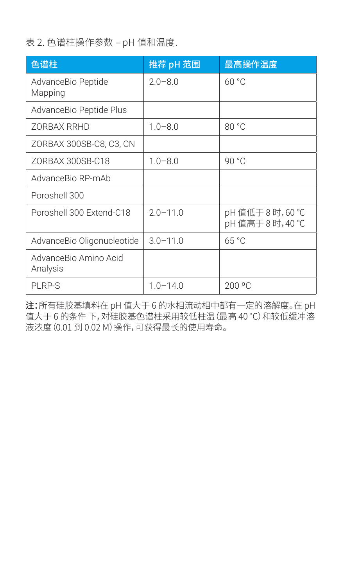#### 表 2. 色谱柱操作参数 – pH 值和温度.

| 色谱柱                               | 推荐 pH 范围     | 最高操作温度                           |
|-----------------------------------|--------------|----------------------------------|
| AdvanceBio Peptide<br>Mapping     | $2.0 - 8.0$  | 60 °C                            |
| AdvanceBio Peptide Plus           |              |                                  |
| <b>70RBAX RRHD</b>                | $1.0 - 8.0$  | 80 °C                            |
| ZORBAX 300SB-C8, C3, CN           |              |                                  |
| ZORBAX 300SB-C18                  | $1.0 - 8.0$  | 90 °C                            |
| AdvanceBio RP-mAb                 |              |                                  |
| Poroshell 300                     |              |                                  |
| Poroshell 300 Extend-C18          | $2.0 - 11.0$ | pH 值低于 8时,60 ℃<br>pH 值高于 8时,40 ℃ |
| AdvanceBio Oligonucleotide        | $3.0 - 11.0$ | 65 °C                            |
| AdvanceBio Amino Acid<br>Analysis |              |                                  |
| PLRP-S                            | $1.0 - 14.0$ | 200 °C                           |

注:所有硅胶基填料在 pH 值大于 6 的水相流动相中都有一定的溶解度。在 pH 值大于 6 的条件 下,对硅胶基色谱柱采用较低柱温(最高 40 °C)和较低缓冲溶 液浓度(0.01 到 0.02 M)操作,可获得最长的使用寿命。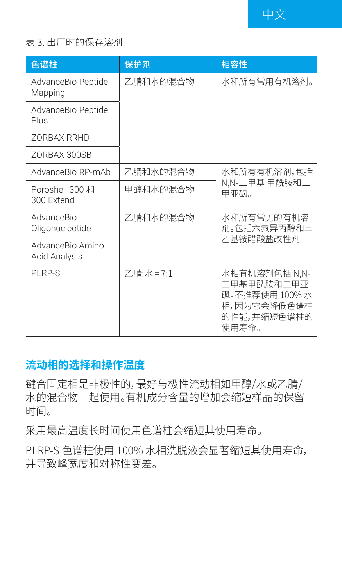表 3. 出厂时的保存溶剂.

| 色谱柱                                      | 保护剂      | 相容性                                                                                  |  |
|------------------------------------------|----------|--------------------------------------------------------------------------------------|--|
| AdvanceBio Peptide<br>Mapping            | 乙腈和水的混合物 | 水和所有常用有机溶剂。                                                                          |  |
| AdvanceBio Peptide<br>Plus               |          |                                                                                      |  |
| <b>70RBAX RRHD</b>                       |          |                                                                                      |  |
| ZORBAX 300SB                             |          |                                                                                      |  |
| AdvanceBio RP-mAb                        | 乙腈和水的混合物 | 水和所有有机溶剂,包括<br>N,N-二甲基 甲酰胺和二<br>甲亚砜。                                                 |  |
| Poroshell 300 和<br>300 Extend            | 甲醇和水的混合物 |                                                                                      |  |
| AdvanceBio<br>Oligonucleotide            | 乙腈和水的混合物 | 水和所有常见的有机溶<br>剂。包括六氟异丙醇和三                                                            |  |
| AdvanceBio Amino<br><b>Acid Analysis</b> |          | 乙基铵醋酸盐改性剂                                                                            |  |
| PI RP-S                                  | 乙腈:水=7:1 | 水相有机溶剂包括 N.N-<br>二甲基甲酰胺和二甲亚<br>砜。不推荐使用 100% 水<br>相,因为它会降低色谱柱<br>的性能,并缩短色谱柱的<br>使用寿命。 |  |

#### **流动相的选择和操作温度**

键合固定相是非极性的,最好与极性流动相如甲醇/水或乙腈/ 水的混合物一起使用。有机成分含量的增加会缩短样品的保留 时间。

采用最高温度长时间使用色谱柱会缩短其使用寿命。

PLRP-S 色谱柱使用 100% 水相洗脱液会显著缩短其使用寿命, 并导致峰宽度和对称性变差。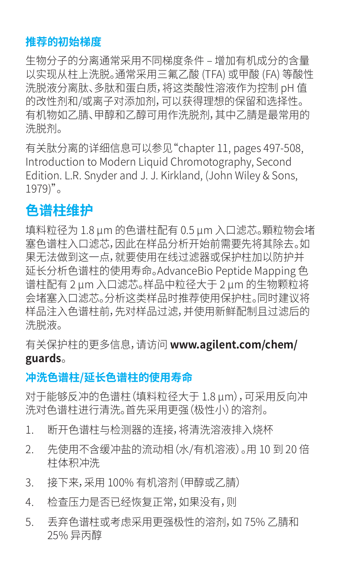#### **推荐的初始梯度**

生物分子的分离通常采用不同梯度条件 – 增加有机成分的含量 以实现从柱上洗脱。通常采用三氟乙酸 (TFA) 或甲酸 (FA) 等酸性 洗脱液分离肽、多肽和蛋白质,将这类酸性溶液作为控制 pH 值 的改性剂和/或离子对添加剂,可以获得理想的保留和选择性。 有机物如乙腈、甲醇和乙醇可用作洗脱剂,其中乙腈是最常用的 洗脱剂。

有关肽分离的详细信息可以参见"chapter 11, pages 497-508, Introduction to Modern Liquid Chromotography, Second Edition. L.R. Snyder and J. J. Kirkland, (John Wiley & Sons, 1979)"。

### **色谱柱维护**

填料粒径为 1.8 µm 的色谱柱配有 0.5 µm 入口滤芯。顆粒物会堵 塞色谱柱入口滤芯,因此在样品分析开始前需要先将其除去。如 果无法做到这一点,就要使用在线过滤器或保护柱加以防护并 延长分析色谱柱的使用寿命。AdvanceBio Peptide Mapping 色 谱柱配有 2 µm 入口滤芯。样品中粒径大于 2 µm 的生物颗粒将 会堵塞入口滤芯。分析这类样品时推荐使用保护柱。同时建议将 样品注入色谱柱前,先对样品过滤,并使用新鲜配制且过滤后的 洗脱液。

#### 有关保护柱的更多信息,请访问 **[www.agilent.com/chem/](http://www.agilent.com/chem/guards) [guards](http://www.agilent.com/chem/guards)**。

#### **冲洗色谱柱/延长色谱柱的使用寿命**

对于能够反冲的色谱柱(填料粒径大于 1.8 µm),可采用反向冲 洗对色谱柱进行清洗。首先采用更强(极性小)的溶剂。

- 1. 断开色谱柱与检测器的连接,将清洗溶液排入烧杯
- 2. 先使用不含缓冲盐的流动相(水/有机溶液)。用 10 到 20 倍 柱体积冲洗
- 3. 接下来,采用 100% 有机溶剂(甲醇或乙腈)
- 4. 检查压力是否已经恢复正常,如果没有,则
- 5. 丢弃色谱柱或考虑采用更强极性的溶剂,如 75% 乙腈和 25% 异丙醇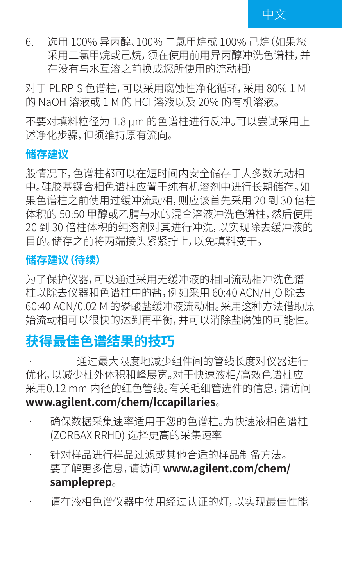6. 选用 100% 异丙醇、100% 二氯甲烷或 100% 己烷(如果您 采用二氯甲烷或己烷,须在使用前用异丙醇冲洗色谱柱,并 在没有与水互溶之前换成您所使用的流动相)

对于 PLRP-S 色谱柱,可以采用腐蚀性净化循环,采用 80% 1 M 的 NaOH 溶液或 1 M 的 HCI 溶液以及 20% 的有机溶液。

不要对填料粒径为 1.8 µm 的色谱柱进行反冲。可以尝试采用上 述净化步骤,但须维持原有流向。

#### **储存建议**

般情况下,色谱柱都可以在短时间内安全储存于大多数流动相 中。硅胶基键合相色谱柱应置于纯有机溶剂中进行长期储存。如 果色谱柱之前使用过缓冲流动相,则应该首先采用 20 到 30 倍柱 体积的 50:50 甲醇或乙腈与水的混合溶液冲洗色谱柱,然后使用 20 到 30 倍柱体积的纯溶剂对其进行冲洗,以实现除去缓冲液的 目的。储存之前将两端接头紧紧拧上,以免填料变干。

#### **储存建议(待续)**

为了保护仪器,可以通过采用无缓冲液的相同流动相冲洗色谱 柱以除去仪器和色谱柱中的盐,例如采用 60:40 ACN/H2O 除去 60:40 ACN/0.02 M 的磷酸盐缓冲液流动相。采用这种方法借助原 始流动相可以很快的达到再平衡,并可以消除盐腐蚀的可能性。

### **获得最佳色谱结果的技巧**

通过最大限度地减少组件间的管线长度对仪器进行 优化,以减少柱外体积和峰展宽。对于快速液相/高效色谱柱应 采用0.12 mm 内径的红色管线。有关毛细管选件的信息,请访问 **[www.agilent.com/chem/lccapillaries](http://www.agilent.com/chem/lccapillaries)**。

- 确保数据采集速率适用于您的色谱柱。为快速液相色谱柱 (ZORBAX RRHD) 选择更高的采集速率
- 针对样品进行样品过滤或其他合适的样品制备方法。 要了解更多信息,请访问 **[www.agilent.com/chem/](http://www.agilent.com/chem/sampleprep) [sampleprep](http://www.agilent.com/chem/sampleprep)**。
- 请在液相色谱仪器中使用经过认证的灯,以实现最佳性能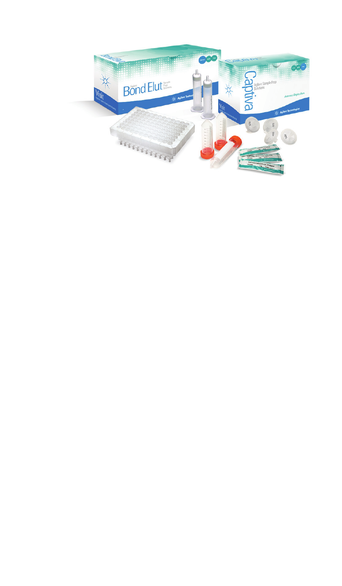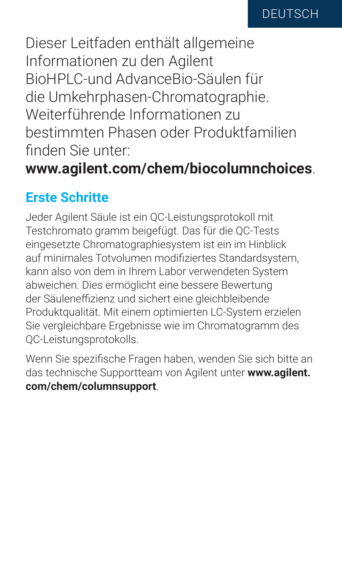### DEUTSCH

Dieser Leitfaden enthält allgemeine Informationen zu den Agilent BioHPLC‑und AdvanceBio-Säulen für die Umkehrphasen‑Chromatographie. Weiterführende Informationen zu bestimmten Phasen oder Produktfamilien finden Sie unter:

## **www.agilent.com/chem/biocolumnchoices**.

### **Erste Schritte**

Jeder Agilent Säule ist ein QC-Leistungsprotokoll mit Testchromato gramm beigefügt. Das für die QC-Tests eingesetzte Chromatographiesystem ist ein im Hinblick auf minimales Totvolumen modifiziertes Standardsystem, kann also von dem in Ihrem Labor verwendeten System abweichen. Dies ermöglicht eine bessere Bewertung der Säuleneffizienz und sichert eine gleichbleibende Produktqualität. Mit einem optimierten LC-System erzielen Sie vergleichbare Ergebnisse wie im Chromatogramm des QC-Leistungsprotokolls.

Wenn Sie spezifische Fragen haben, wenden Sie sich bitte an das technische Supportteam von Agilent unter **[www.agilent.](http://www.agilent.com/chem/columnsupport) [com/chem/columnsupport](http://www.agilent.com/chem/columnsupport)**.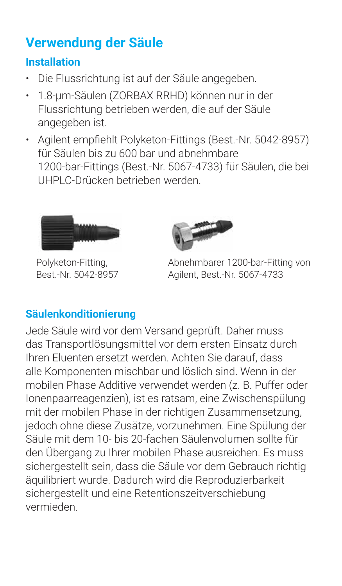## **Verwendung der Säule**

#### **Installation**

- Die Flussrichtung ist auf der Säule angegeben.
- 1.8-µm-Säulen (ZORBAX RRHD) können nur in der Flussrichtung betrieben werden, die auf der Säule angegeben ist.
- Agilent empfiehlt Polyketon-Fittings (Best.-Nr. 5042-8957) für Säulen bis zu 600 bar und abnehmbare 1200-bar‑Fittings (Best.-Nr. 5067-4733) für Säulen, die bei UHPLC‑Drücken betrieben werden.



Polyketon-Fitting, Best.-Nr. 5042-8957



Abnehmbarer 1200-bar-Fitting von Agilent, Best.-Nr. 5067-4733

#### **Säulenkonditionierung**

Jede Säule wird vor dem Versand geprüft. Daher muss das Transportlösungsmittel vor dem ersten Einsatz durch Ihren Eluenten ersetzt werden. Achten Sie darauf, dass alle Komponenten mischbar und löslich sind. Wenn in der mobilen Phase Additive verwendet werden (z. B. Puffer oder Ionenpaarreagenzien), ist es ratsam, eine Zwischenspülung mit der mobilen Phase in der richtigen Zusammensetzung, jedoch ohne diese Zusätze, vorzunehmen. Eine Spülung der Säule mit dem 10- bis 20-fachen Säulenvolumen sollte für den Übergang zu Ihrer mobilen Phase ausreichen. Es muss sichergestellt sein, dass die Säule vor dem Gebrauch richtig äquilibriert wurde. Dadurch wird die Reproduzierbarkeit sichergestellt und eine Retentionszeitverschiebung vermieden.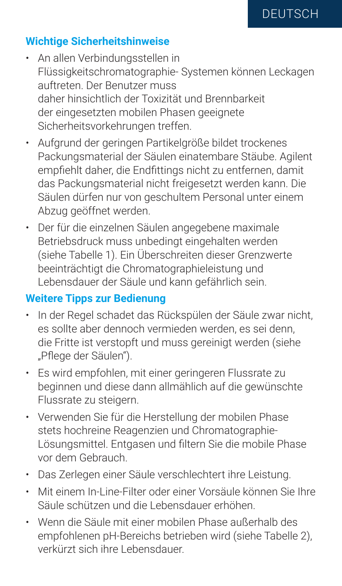#### **Wichtige Sicherheitshinweise**

- An allen Verbindungsstellen in Flüssigkeitschromatographie- Systemen können Leckagen auftreten. Der Benutzer muss daher hinsichtlich der Toxizität und Brennbarkeit der eingesetzten mobilen Phasen geeignete Sicherheitsvorkehrungen treffen.
- Aufgrund der geringen Partikelgröße bildet trockenes Packungsmaterial der Säulen einatembare Stäube. Agilent empfiehlt daher, die Endfittings nicht zu entfernen, damit das Packungsmaterial nicht freigesetzt werden kann. Die Säulen dürfen nur von geschultem Personal unter einem Abzug geöffnet werden.
- Der für die einzelnen Säulen angegebene maximale Betriebsdruck muss unbedingt eingehalten werden (siehe Tabelle 1). Ein Überschreiten dieser Grenzwerte beeinträchtigt die Chromatographieleistung und Lebensdauer der Säule und kann gefährlich sein.

#### **Weitere Tipps zur Bedienung**

- In der Regel schadet das Rückspülen der Säule zwar nicht, es sollte aber dennoch vermieden werden, es sei denn, die Fritte ist verstopft und muss gereinigt werden (siehe "Pflege der Säulen").
- Es wird empfohlen, mit einer geringeren Flussrate zu beginnen und diese dann allmählich auf die gewünschte Flussrate zu steigern.
- Verwenden Sie für die Herstellung der mobilen Phase stets hochreine Reagenzien und Chromatographie-Lösungsmittel. Entgasen und filtern Sie die mobile Phase vor dem Gebrauch.
- Das Zerlegen einer Säule verschlechtert ihre Leistung.
- Mit einem In-Line-Filter oder einer Vorsäule können Sie Ihre Säule schützen und die Lebensdauer erhöhen.
- Wenn die Säule mit einer mobilen Phase außerhalb des empfohlenen pH-Bereichs betrieben wird (siehe Tabelle 2), verkürzt sich ihre Lebensdauer.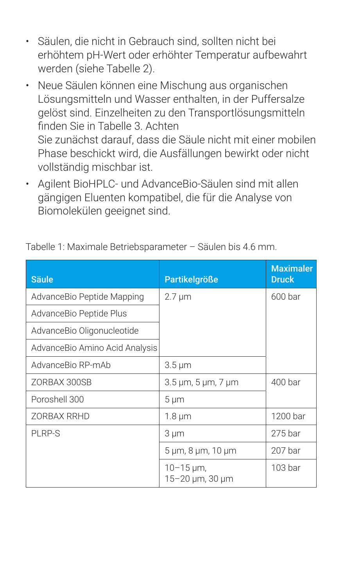- Säulen, die nicht in Gebrauch sind, sollten nicht bei erhöhtem pH-Wert oder erhöhter Temperatur aufbewahrt werden (siehe Tabelle 2).
- Neue Säulen können eine Mischung aus organischen Lösungsmitteln und Wasser enthalten, in der Puffersalze gelöst sind. Einzelheiten zu den Transportlösungsmitteln finden Sie in Tabelle 3. Achten Sie zunächst darauf, dass die Säule nicht mit einer mobilen Phase beschickt wird, die Ausfällungen bewirkt oder nicht vollständig mischbar ist.
- Agilent BioHPLC- und AdvanceBio-Säulen sind mit allen gängigen Eluenten kompatibel, die für die Analyse von Biomolekülen geeignet sind.

| <b>Säule</b>                   | Partikelgröße                             | <b>Maximaler</b><br><b>Druck</b> |
|--------------------------------|-------------------------------------------|----------------------------------|
| AdvanceBio Peptide Mapping     | $2.7 \mu m$                               | 600 bar                          |
| AdvanceBio Peptide Plus        |                                           |                                  |
| AdvanceBio Oligonucleotide     |                                           |                                  |
| AdvanceBio Amino Acid Analysis |                                           |                                  |
| AdvanceBio RP-mAb              | $3.5 \,\mathrm{\upmu m}$                  |                                  |
| ZORBAX 300SB                   | $3.5 \,\mu m$ , $5 \,\mu m$ , $7 \,\mu m$ | $400$ bar                        |
| Poroshell 300                  | $5 \mu m$                                 |                                  |
| <b>70RBAX RRHD</b>             | $1.8 \mu m$                               | 1200 bar                         |
| PI RP-S                        | $3 \mu m$                                 | 275 bar                          |
|                                | 5 µm, 8 µm, 10 µm                         | 207 bar                          |
|                                | $10 - 15$ µm,<br>15-20 µm, 30 µm          | 103 bar                          |

Tabelle 1: Maximale Betriebsparameter – Säulen bis 4.6 mm.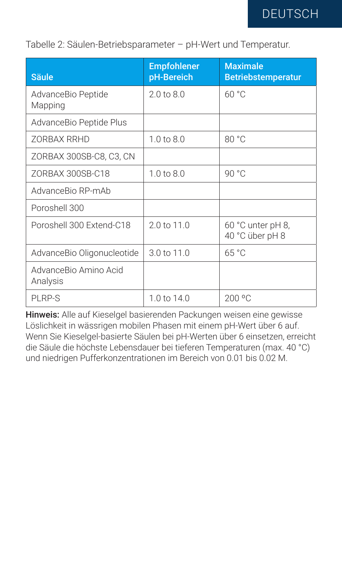Tabelle 2: Säulen-Betriebsparameter – pH-Wert und Temperatur.

| <b>Säule</b>                      | <b>Empfohlener</b><br>pH-Bereich | <b>Maximale</b><br><b>Betriebstemperatur</b> |
|-----------------------------------|----------------------------------|----------------------------------------------|
| AdvanceBio Peptide<br>Mapping     | 2.0 to 8.0                       | 60 °C                                        |
| AdvanceBio Peptide Plus           |                                  |                                              |
| <b>70RBAX RRHD</b>                | 1.0 to 8.0                       | 80 °C                                        |
| ZORBAX 300SB-C8, C3, CN           |                                  |                                              |
| 70RBAX 300SB-C18                  | 1.0 to 8.0                       | 90 °C                                        |
| AdvanceBio RP-mAb                 |                                  |                                              |
| Poroshell 300                     |                                  |                                              |
| Poroshell 300 Extend-C18          | 2.0 to 11.0                      | 60 °C unter pH 8,<br>40 °C über pH 8         |
| AdvanceBio Oligonucleotide        | 3.0 to 11.0                      | 65 °C                                        |
| AdvanceBio Amino Acid<br>Analysis |                                  |                                              |
| PI RP-S                           | $1.0$ to $14.0$                  | 200 °C                                       |

Hinweis: Alle auf Kieselgel basierenden Packungen weisen eine gewisse Löslichkeit in wässrigen mobilen Phasen mit einem pH-Wert über 6 auf. Wenn Sie Kieselgel-basierte Säulen bei pH-Werten über 6 einsetzen, erreicht die Säule die höchste Lebensdauer bei tieferen Temperaturen (max. 40 °C) und niedrigen Pufferkonzentrationen im Bereich von 0.01 bis 0.02 M.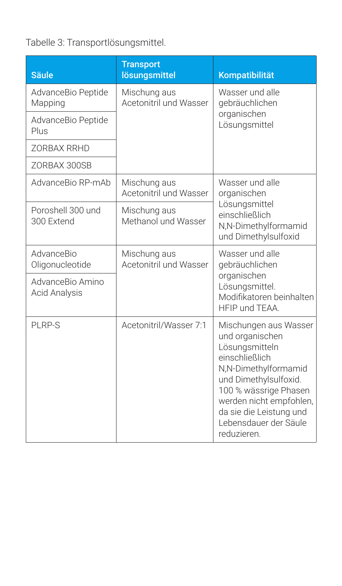Tabelle 3: Transportlösungsmittel.

| Säule                                    | <b>Transport</b><br>lösungsmittel      | <b>Kompatibilität</b>                                                                                                                                                                                                                                |
|------------------------------------------|----------------------------------------|------------------------------------------------------------------------------------------------------------------------------------------------------------------------------------------------------------------------------------------------------|
| AdvanceBio Peptide<br>Mapping            | Mischung aus<br>Acetonitril und Wasser | Wasser und alle<br>gebräuchlichen<br>organischen<br>Lösungsmittel                                                                                                                                                                                    |
| AdvanceBio Peptide<br>Plus               |                                        |                                                                                                                                                                                                                                                      |
| <b>70RBAX RRHD</b>                       |                                        |                                                                                                                                                                                                                                                      |
| ZORBAX 300SB                             |                                        |                                                                                                                                                                                                                                                      |
| AdvanceBio RP-mAb                        | Mischung aus<br>Acetonitril und Wasser | Wasser und alle<br>organischen<br>Lösungsmittel<br>einschließlich<br>N,N-Dimethylformamid<br>und Dimethylsulfoxid                                                                                                                                    |
| Poroshell 300 und<br>300 Extend          | Mischung aus<br>Methanol und Wasser    |                                                                                                                                                                                                                                                      |
| AdvanceBio<br>Oligonucleotide            | Mischung aus<br>Acetonitril und Wasser | Wasser und alle<br>gebräuchlichen<br>organischen<br>Lösungsmittel.<br>Modifikatoren beinhalten<br>HFIP und TFAA.                                                                                                                                     |
| AdvanceBio Amino<br><b>Acid Analysis</b> |                                        |                                                                                                                                                                                                                                                      |
| PI RP-S                                  | Acetonitril/Wasser 7:1                 | Mischungen aus Wasser<br>und organischen<br>Lösungsmitteln<br>einschließlich<br>N,N-Dimethylformamid<br>und Dimethylsulfoxid.<br>100 % wässrige Phasen<br>werden nicht empfohlen,<br>da sie die Leistung und<br>Lebensdauer der Säule<br>reduzieren. |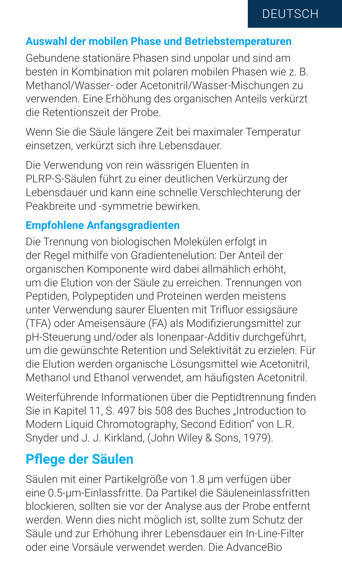#### **Auswahl der mobilen Phase und Betriebstemperaturen**

Gebundene stationäre Phasen sind unpolar und sind am besten in Kombination mit polaren mobilen Phasen wie z. B. Methanol/Wasser- oder Acetonitril/Wasser-Mischungen zu verwenden. Eine Erhöhung des organischen Anteils verkürzt die Retentionszeit der Probe.

Wenn Sie die Säule längere Zeit bei maximaler Temperatur einsetzen, verkürzt sich ihre Lebensdauer.

Die Verwendung von rein wässrigen Eluenten in PLRP‑S‑Säulen führt zu einer deutlichen Verkürzung der Lebensdauer und kann eine schnelle Verschlechterung der Peakbreite und -symmetrie bewirken.

#### **Empfohlene Anfangsgradienten**

Die Trennung von biologischen Molekülen erfolgt in der Regel mithilfe von Gradientenelution: Der Anteil der organischen Komponente wird dabei allmählich erhöht, um die Elution von der Säule zu erreichen. Trennungen von Peptiden, Polypeptiden und Proteinen werden meistens unter Verwendung saurer Eluenten mit Trifluor essigsäure (TFA) oder Ameisensäure (FA) als Modifizierungsmittel zur pH-Steuerung und/oder als Ionenpaar-Additiv durchgeführt, um die gewünschte Retention und Selektivität zu erzielen. Für die Elution werden organische Lösungsmittel wie Acetonitril, Methanol und Ethanol verwendet, am häufigsten Acetonitril.

Weiterführende Informationen über die Peptidtrennung finden Sie in Kapitel 11, S. 497 bis 508 des Buches "Introduction to Modern Liquid Chromotography, Second Edition" von L.R. Snyder und J. J. Kirkland, (John Wiley & Sons, 1979).

### **Pflege der Säulen**

Säulen mit einer Partikelgröße von 1.8 µm verfügen über eine 0.5-µm-Einlassfritte. Da Partikel die Säuleneinlassfritten blockieren, sollten sie vor der Analyse aus der Probe entfernt werden. Wenn dies nicht möglich ist, sollte zum Schutz der Säule und zur Erhöhung ihrer Lebensdauer ein In-Line-Filter oder eine Vorsäule verwendet werden. Die AdvanceBio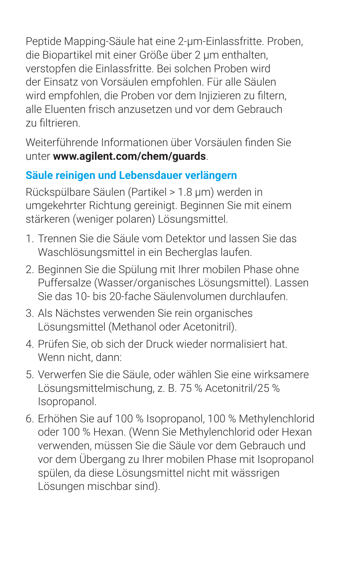Peptide Mapping-Säule hat eine 2-µm‑Einlassfritte. Proben, die Biopartikel mit einer Größe über 2 um enthalten. verstopfen die Einlassfritte. Bei solchen Proben wird der Einsatz von Vorsäulen empfohlen. Für alle Säulen wird empfohlen, die Proben vor dem Injizieren zu filtern, alle Eluenten frisch anzusetzen und vor dem Gebrauch zu filtrieren.

Weiterführende Informationen über Vorsäulen finden Sie unter **www.agilent.com/chem/guards**.

### **Säule reinigen und Lebensdauer verlängern**

Rückspülbare Säulen (Partikel > 1.8 µm) werden in umgekehrter Richtung gereinigt. Beginnen Sie mit einem stärkeren (weniger polaren) Lösungsmittel.

- 1. Trennen Sie die Säule vom Detektor und lassen Sie das Waschlösungsmittel in ein Becherglas laufen.
- 2. Beginnen Sie die Spülung mit Ihrer mobilen Phase ohne Puffersalze (Wasser/organisches Lösungsmittel). Lassen Sie das 10- bis 20-fache Säulenvolumen durchlaufen.
- 3. Als Nächstes verwenden Sie rein organisches Lösungsmittel (Methanol oder Acetonitril).
- 4. Prüfen Sie, ob sich der Druck wieder normalisiert hat. Wenn nicht, dann:
- 5. Verwerfen Sie die Säule, oder wählen Sie eine wirksamere Lösungsmittelmischung, z. B. 75 % Acetonitril/25 % Isopropanol.
- 6. Erhöhen Sie auf 100 % Isopropanol, 100 % Methylenchlorid oder 100 % Hexan. (Wenn Sie Methylenchlorid oder Hexan verwenden, müssen Sie die Säule vor dem Gebrauch und vor dem Übergang zu Ihrer mobilen Phase mit Isopropanol spülen, da diese Lösungsmittel nicht mit wässrigen Lösungen mischbar sind).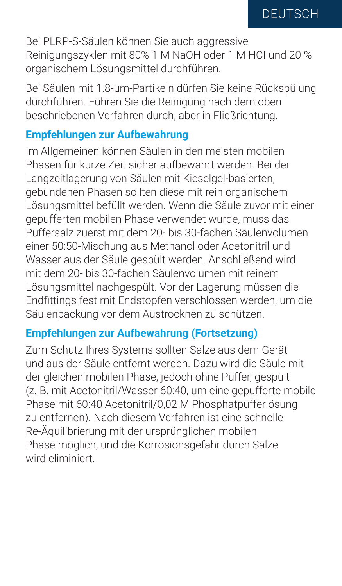Bei PLRP-S-Säulen können Sie auch aggressive Reinigungszyklen mit 80% 1 M NaOH oder 1 M HCI und 20 % organischem Lösungsmittel durchführen.

Bei Säulen mit 1.8-µm-Partikeln dürfen Sie keine Rückspülung durchführen. Führen Sie die Reinigung nach dem oben beschriebenen Verfahren durch, aber in Fließrichtung.

# **Empfehlungen zur Aufbewahrung**

Im Allgemeinen können Säulen in den meisten mobilen Phasen für kurze Zeit sicher aufbewahrt werden. Bei der Langzeitlagerung von Säulen mit Kieselgel-basierten, gebundenen Phasen sollten diese mit rein organischem Lösungsmittel befüllt werden. Wenn die Säule zuvor mit einer gepufferten mobilen Phase verwendet wurde, muss das Puffersalz zuerst mit dem 20- bis 30-fachen Säulenvolumen einer 50:50-Mischung aus Methanol oder Acetonitril und Wasser aus der Säule gespült werden. Anschließend wird mit dem 20- bis 30-fachen Säulenvolumen mit reinem Lösungsmittel nachgespült. Vor der Lagerung müssen die Endfittings fest mit Endstopfen verschlossen werden, um die Säulenpackung vor dem Austrocknen zu schützen.

## **Empfehlungen zur Aufbewahrung (Fortsetzung)**

Zum Schutz Ihres Systems sollten Salze aus dem Gerät und aus der Säule entfernt werden. Dazu wird die Säule mit der gleichen mobilen Phase, jedoch ohne Puffer, gespült (z. B. mit Acetonitril/Wasser 60:40, um eine gepufferte mobile Phase mit 60:40 Acetonitril/0,02 M Phosphatpufferlösung zu entfernen). Nach diesem Verfahren ist eine schnelle Re‑Äquilibrierung mit der ursprünglichen mobilen Phase möglich, und die Korrosionsgefahr durch Salze wird eliminiert.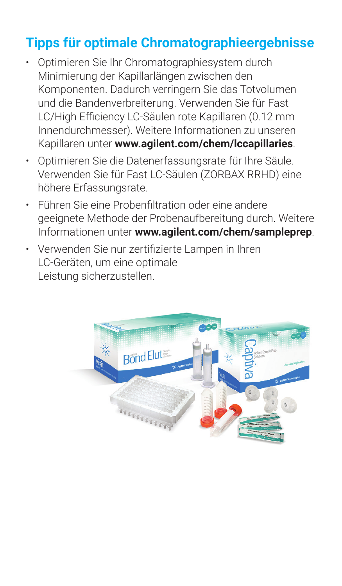# **Tipps für optimale Chromatographieergebnisse**

- Optimieren Sie Ihr Chromatographiesystem durch Minimierung der Kapillarlängen zwischen den Komponenten. Dadurch verringern Sie das Totvolumen und die Bandenverbreiterung. Verwenden Sie für Fast LC/High Efficiency LC-Säulen rote Kapillaren (0.12 mm Innendurchmesser). Weitere Informationen zu unseren Kapillaren unter **www.agilent.com/chem/lccapillaries**.
- Optimieren Sie die Datenerfassungsrate für Ihre Säule. Verwenden Sie für Fast LC-Säulen (ZORBAX RRHD) eine höhere Erfassungsrate.
- Führen Sie eine Probenfiltration oder eine andere geeignete Methode der Probenaufbereitung durch. Weitere Informationen unter **www.agilent.com/chem/sampleprep**.
- Verwenden Sie nur zertifizierte Lampen in Ihren LC-Geräten, um eine optimale Leistung sicherzustellen.

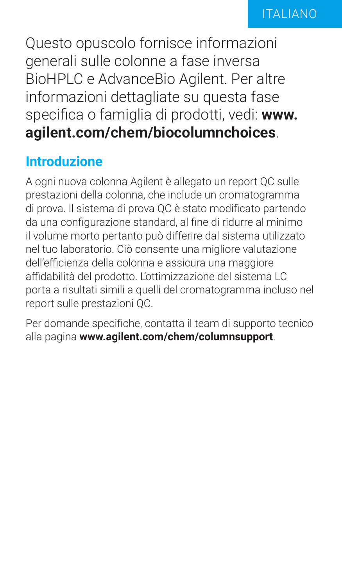Questo opuscolo fornisce informazioni generali sulle colonne a fase inversa BioHPLC e AdvanceBio Agilent. Per altre informazioni dettagliate su questa fase specifica o famiglia di prodotti, vedi: **www. agilent.com/chem/biocolumnchoices**.

# **Introduzione**

A ogni nuova colonna Agilent è allegato un report QC sulle prestazioni della colonna, che include un cromatogramma di prova. Il sistema di prova QC è stato modificato partendo da una configurazione standard, al fine di ridurre al minimo il volume morto pertanto può differire dal sistema utilizzato nel tuo laboratorio. Ciò consente una migliore valutazione dell'efficienza della colonna e assicura una maggiore affidabilità del prodotto. L'ottimizzazione del sistema LC porta a risultati simili a quelli del cromatogramma incluso nel report sulle prestazioni QC.

Per domande specifiche, contatta il team di supporto tecnico alla pagina **www.agilent.com/chem/columnsupport**.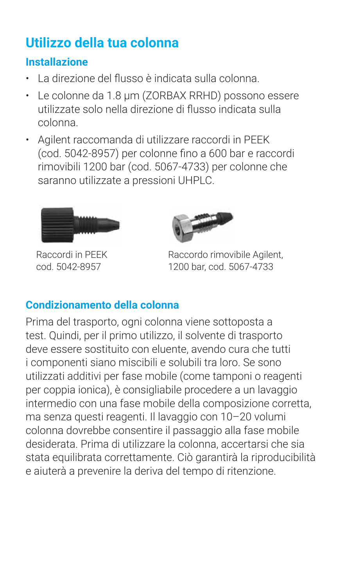# **Utilizzo della tua colonna**

## **Installazione**

- La direzione del flusso è indicata sulla colonna.
- Le colonne da 1.8 µm (ZORBAX RRHD) possono essere utilizzate solo nella direzione di flusso indicata sulla colonna.
- Agilent raccomanda di utilizzare raccordi in PEEK (cod. 5042-8957) per colonne fino a 600 bar e raccordi rimovibili 1200 bar (cod. 5067-4733) per colonne che saranno utilizzate a pressioni UHPLC.



Raccordi in PEEK cod. 5042-8957



Raccordo rimovibile Agilent, 1200 bar, cod. 5067-4733

## **Condizionamento della colonna**

Prima del trasporto, ogni colonna viene sottoposta a test. Quindi, per il primo utilizzo, il solvente di trasporto deve essere sostituito con eluente, avendo cura che tutti i componenti siano miscibili e solubili tra loro. Se sono utilizzati additivi per fase mobile (come tamponi o reagenti per coppia ionica), è consigliabile procedere a un lavaggio intermedio con una fase mobile della composizione corretta, ma senza questi reagenti. Il lavaggio con 10–20 volumi colonna dovrebbe consentire il passaggio alla fase mobile desiderata. Prima di utilizzare la colonna, accertarsi che sia stata equilibrata correttamente. Ciò garantirà la riproducibilità e aiuterà a prevenire la deriva del tempo di ritenzione.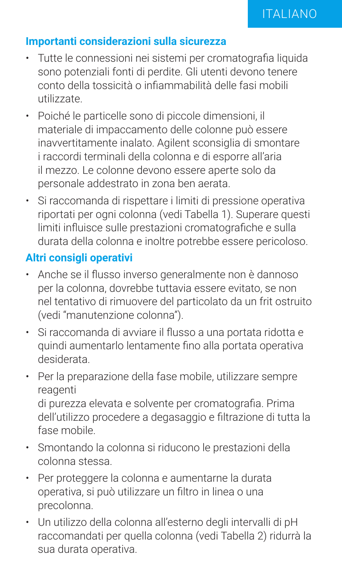### **Importanti considerazioni sulla sicurezza**

- Tutte le connessioni nei sistemi per cromatografia liquida sono potenziali fonti di perdite. Gli utenti devono tenere conto della tossicità o infiammabilità delle fasi mobili utilizzate.
- Poiché le particelle sono di piccole dimensioni, il materiale di impaccamento delle colonne può essere inavvertitamente inalato. Agilent sconsiglia di smontare i raccordi terminali della colonna e di esporre all'aria il mezzo. Le colonne devono essere aperte solo da personale addestrato in zona ben aerata.
- Si raccomanda di rispettare i limiti di pressione operativa riportati per ogni colonna (vedi Tabella 1). Superare questi limiti influisce sulle prestazioni cromatografiche e sulla durata della colonna e inoltre potrebbe essere pericoloso.

## **Altri consigli operativi**

- Anche se il flusso inverso generalmente non è dannoso per la colonna, dovrebbe tuttavia essere evitato, se non nel tentativo di rimuovere del particolato da un frit ostruito (vedi "manutenzione colonna").
- Si raccomanda di avviare il flusso a una portata ridotta e quindi aumentarlo lentamente fino alla portata operativa desiderata.
- Per la preparazione della fase mobile, utilizzare sempre reagenti di purezza elevata e solvente per cromatografia. Prima dell'utilizzo procedere a degasaggio e filtrazione di tutta la fase mobile.
- Smontando la colonna si riducono le prestazioni della colonna stessa.
- Per proteggere la colonna e aumentarne la durata operativa, si può utilizzare un filtro in linea o una precolonna.
- Un utilizzo della colonna all'esterno degli intervalli di pH raccomandati per quella colonna (vedi Tabella 2) ridurrà la sua durata operativa.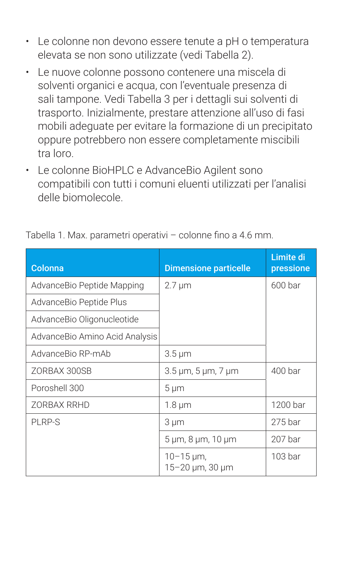- Le colonne non devono essere tenute a pH o temperatura elevata se non sono utilizzate (vedi Tabella 2).
- Le nuove colonne possono contenere una miscela di solventi organici e acqua, con l'eventuale presenza di sali tampone. Vedi Tabella 3 per i dettagli sui solventi di trasporto. Inizialmente, prestare attenzione all'uso di fasi mobili adeguate per evitare la formazione di un precipitato oppure potrebbero non essere completamente miscibili tra loro.
- Le colonne BioHPLC e AdvanceBio Agilent sono compatibili con tutti i comuni eluenti utilizzati per l'analisi delle biomolecole.

| Colonna                        | <b>Dimensione particelle</b>     | Limite di<br>pressione |
|--------------------------------|----------------------------------|------------------------|
| AdvanceBio Peptide Mapping     | $2.7 \mu m$                      | 600 bar                |
| AdvanceBio Peptide Plus        |                                  |                        |
| AdvanceBio Oligonucleotide     |                                  |                        |
| AdvanceBio Amino Acid Analysis |                                  |                        |
| AdvanceBio RP-mAb              | $3.5 \,\mathrm{\upmu m}$         |                        |
| ZORBAX 300SB                   | 3.5 µm, 5 µm, 7 µm               | $400$ bar              |
| Poroshell 300                  | $5 \mu m$                        |                        |
| ZORBAX RRHD                    | $1.8 \mu m$                      | 1200 bar               |
| PI RP-S                        | 3 µm                             | 275 bar                |
|                                | 5 µm, 8 µm, 10 µm                | 207 bar                |
|                                | $10 - 15$ µm,<br>15-20 µm, 30 µm | 103 bar                |

Tabella 1. Max. parametri operativi – colonne fino a 4.6 mm.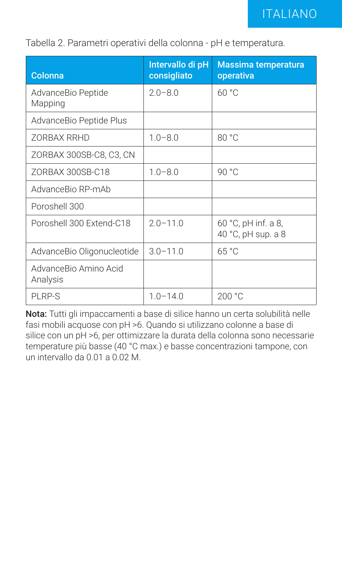| Colonna                           | Intervallo di pH<br>consigliato | Massima temperatura<br>operativa          |
|-----------------------------------|---------------------------------|-------------------------------------------|
| AdvanceBio Peptide<br>Mapping     | $2.0 - 8.0$                     | 60 °C                                     |
| AdvanceBio Peptide Plus           |                                 |                                           |
| <b>70RBAX RRHD</b>                | $1.0 - 8.0$                     | 80 °C                                     |
| ZORBAX 300SB-C8, C3, CN           |                                 |                                           |
| ZORBAX 300SB-C18                  | $1.0 - 8.0$                     | 90 °C                                     |
| AdvanceBio RP-mAb                 |                                 |                                           |
| Poroshell 300                     |                                 |                                           |
| Poroshell 300 Extend-C18          | $2.0 - 11.0$                    | 60 °C, pH inf. a 8,<br>40 °C, pH sup. a 8 |
| AdvanceBio Oligonucleotide        | $3.0 - 11.0$                    | 65 °C                                     |
| AdvanceBio Amino Acid<br>Analysis |                                 |                                           |
| PLRP-S                            | $1.0 - 14.0$                    | 200 °C                                    |

Tabella 2. Parametri operativi della colonna - pH e temperatura.

Nota: Tutti gli impaccamenti a base di silice hanno un certa solubilità nelle fasi mobili acquose con pH >6. Quando si utilizzano colonne a base di silice con un pH >6, per ottimizzare la durata della colonna sono necessarie temperature più basse (40 °C max.) e basse concentrazioni tampone, con un intervallo da 0.01 a  $0.02 \, \text{M}$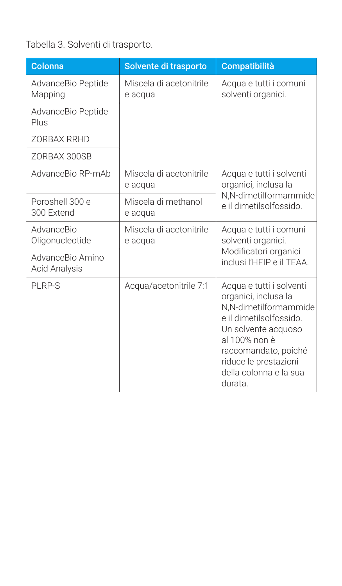Tabella 3. Solventi di trasporto.

| Colonna                           | Solvente di trasporto              | Compatibilità                                                                                                                                                                                                                      |  |
|-----------------------------------|------------------------------------|------------------------------------------------------------------------------------------------------------------------------------------------------------------------------------------------------------------------------------|--|
| AdvanceBio Peptide<br>Mapping     | Miscela di acetonitrile<br>e acqua | Acqua e tutti i comuni<br>solventi organici.                                                                                                                                                                                       |  |
| AdvanceBio Peptide<br>Plus        |                                    |                                                                                                                                                                                                                                    |  |
| <b>70RBAX RRHD</b>                |                                    |                                                                                                                                                                                                                                    |  |
| ZORBAX 300SB                      |                                    |                                                                                                                                                                                                                                    |  |
| AdvanceBio RP-mAb                 | Miscela di acetonitrile<br>e acqua | Acqua e tutti i solventi<br>organici, inclusa la                                                                                                                                                                                   |  |
| Poroshell 300 e<br>300 Extend     | Miscela di methanol<br>e acqua     | N.N-dimetilformammide<br>e il dimetilsolfossido.                                                                                                                                                                                   |  |
| AdvanceBio<br>Oligonucleotide     | Miscela di acetonitrile<br>e acqua | Acqua e tutti i comuni<br>solventi organici.<br>Modificatori organici<br>inclusi l'HFIP e il TFAA.                                                                                                                                 |  |
| AdvanceBio Amino<br>Acid Analysis |                                    |                                                                                                                                                                                                                                    |  |
| PI RP-S                           | Acqua/acetonitrile 7:1             | Acqua e tutti i solventi<br>organici, inclusa la<br>N.N-dimetilformammide<br>e il dimetilsolfossido.<br>Un solvente acquoso<br>al 100% non è<br>raccomandato, poiché<br>riduce le prestazioni<br>della colonna e la sua<br>durata. |  |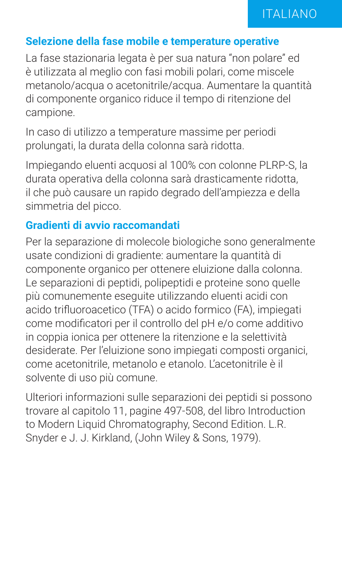#### **Selezione della fase mobile e temperature operative**

La fase stazionaria legata è per sua natura "non polare" ed è utilizzata al meglio con fasi mobili polari, come miscele metanolo/acqua o acetonitrile/acqua. Aumentare la quantità di componente organico riduce il tempo di ritenzione del campione.

In caso di utilizzo a temperature massime per periodi prolungati, la durata della colonna sarà ridotta.

Impiegando eluenti acquosi al 100% con colonne PLRP-S, la durata operativa della colonna sarà drasticamente ridotta, il che può causare un rapido degrado dell'ampiezza e della simmetria del picco.

## **Gradienti di avvio raccomandati**

Per la separazione di molecole biologiche sono generalmente usate condizioni di gradiente: aumentare la quantità di componente organico per ottenere eluizione dalla colonna. Le separazioni di peptidi, polipeptidi e proteine sono quelle più comunemente eseguite utilizzando eluenti acidi con acido trifluoroacetico (TFA) o acido formico (FA), impiegati come modificatori per il controllo del pH e/o come additivo in coppia ionica per ottenere la ritenzione e la selettività desiderate. Per l'eluizione sono impiegati composti organici, come acetonitrile, metanolo e etanolo. L'acetonitrile è il solvente di uso più comune.

Ulteriori informazioni sulle separazioni dei peptidi si possono trovare al capitolo 11, pagine 497-508, del libro Introduction to Modern Liquid Chromatography, Second Edition. L.R. Snyder e J. J. Kirkland, (John Wiley & Sons, 1979).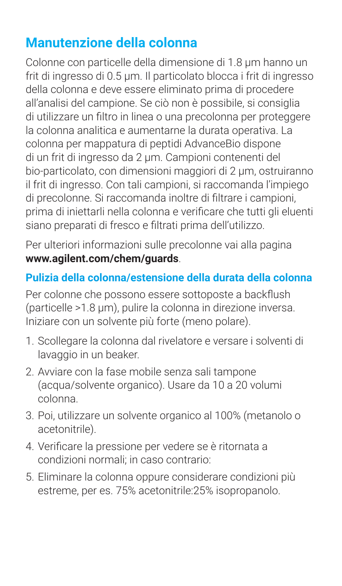# **Manutenzione della colonna**

Colonne con particelle della dimensione di 1.8 µm hanno un frit di ingresso di 0.5 µm. Il particolato blocca i frit di ingresso della colonna e deve essere eliminato prima di procedere all'analisi del campione. Se ciò non è possibile, si consiglia di utilizzare un filtro in linea o una precolonna per proteggere la colonna analitica e aumentarne la durata operativa. La colonna per mappatura di peptidi AdvanceBio dispone di un frit di ingresso da 2 µm. Campioni contenenti del bio-particolato, con dimensioni maggiori di 2 um, ostruiranno il frit di ingresso. Con tali campioni, si raccomanda l'impiego di precolonne. Si raccomanda inoltre di filtrare i campioni, prima di iniettarli nella colonna e verificare che tutti gli eluenti siano preparati di fresco e filtrati prima dell'utilizzo.

Per ulteriori informazioni sulle precolonne vai alla pagina **www.agilent.com/chem/guards**.

# **Pulizia della colonna/estensione della durata della colonna**

Per colonne che possono essere sottoposte a backflush (particelle >1.8 µm), pulire la colonna in direzione inversa. Iniziare con un solvente più forte (meno polare).

- 1. Scollegare la colonna dal rivelatore e versare i solventi di lavaggio in un beaker.
- 2. Avviare con la fase mobile senza sali tampone (acqua/solvente organico). Usare da 10 a 20 volumi colonna.
- 3. Poi, utilizzare un solvente organico al 100% (metanolo o acetonitrile).
- 4. Verificare la pressione per vedere se è ritornata a condizioni normali; in caso contrario:
- 5. Eliminare la colonna oppure considerare condizioni più estreme, per es. 75% acetonitrile:25% isopropanolo.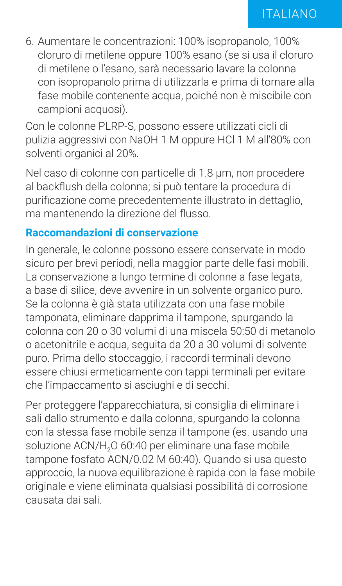6. Aumentare le concentrazioni: 100% isopropanolo, 100% cloruro di metilene oppure 100% esano (se si usa il cloruro di metilene o l'esano, sarà necessario lavare la colonna con isopropanolo prima di utilizzarla e prima di tornare alla fase mobile contenente acqua, poiché non è miscibile con campioni acquosi).

Con le colonne PLRP-S, possono essere utilizzati cicli di pulizia aggressivi con NaOH 1 M oppure HCl 1 M all'80% con solventi organici al 20%.

Nel caso di colonne con particelle di 1.8 µm, non procedere al backflush della colonna; si può tentare la procedura di purificazione come precedentemente illustrato in dettaglio, ma mantenendo la direzione del flusso.

### **Raccomandazioni di conservazione**

In generale, le colonne possono essere conservate in modo sicuro per brevi periodi, nella maggior parte delle fasi mobili. La conservazione a lungo termine di colonne a fase legata, a base di silice, deve avvenire in un solvente organico puro. Se la colonna è già stata utilizzata con una fase mobile tamponata, eliminare dapprima il tampone, spurgando la colonna con 20 o 30 volumi di una miscela 50:50 di metanolo o acetonitrile e acqua, seguita da 20 a 30 volumi di solvente puro. Prima dello stoccaggio, i raccordi terminali devono essere chiusi ermeticamente con tappi terminali per evitare che l'impaccamento si asciughi e di secchi.

Per proteggere l'apparecchiatura, si consiglia di eliminare i sali dallo strumento e dalla colonna, spurgando la colonna con la stessa fase mobile senza il tampone (es. usando una soluzione ACN/H<sub>2</sub>O 60:40 per eliminare una fase mobile tampone fosfato ACN/0.02 M 60:40). Quando si usa questo approccio, la nuova equilibrazione è rapida con la fase mobile originale e viene eliminata qualsiasi possibilità di corrosione causata dai sali.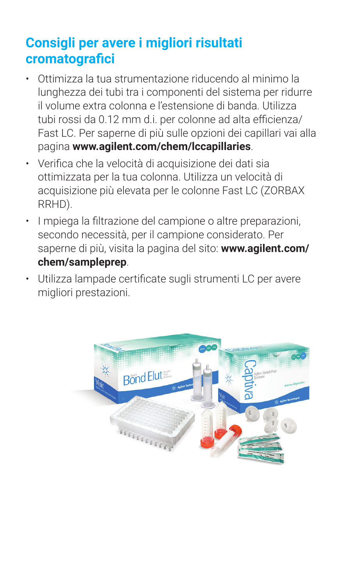# **Consigli per avere i migliori risultati cromatografici**

- Ottimizza la tua strumentazione riducendo al minimo la lunghezza dei tubi tra i componenti del sistema per ridurre il volume extra colonna e l'estensione di banda. Utilizza tubi rossi da 0.12 mm d.i. per colonne ad alta efficienza/ Fast LC. Per saperne di più sulle opzioni dei capillari vai alla pagina **www.agilent.com/chem/lccapillaries**.
- Verifica che la velocità di acquisizione dei dati sia ottimizzata per la tua colonna. Utilizza un velocità di acquisizione più elevata per le colonne Fast LC (ZORBAX RRHD).
- I mpiega la filtrazione del campione o altre preparazioni, secondo necessità, per il campione considerato. Per saperne di più, visita la pagina del sito: **www.agilent.com/ chem/sampleprep**.
- Utilizza lampade certificate sugli strumenti LC per avere migliori prestazioni.

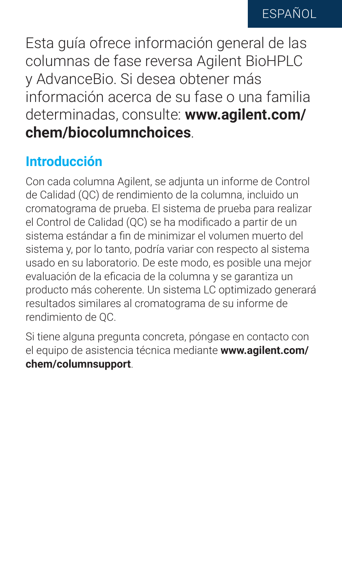Esta guía ofrece información general de las columnas de fase reversa Agilent BioHPLC y AdvanceBio. Si desea obtener más información acerca de su fase o una familia determinadas, consulte: **[www.agilent.com/](http://www.agilent.com/chem/biocolumnchoices) [chem/biocolumnchoices](http://www.agilent.com/chem/biocolumnchoices)**.

# **Introducción**

Con cada columna Agilent, se adjunta un informe de Control de Calidad (QC) de rendimiento de la columna, incluido un cromatograma de prueba. El sistema de prueba para realizar el Control de Calidad (QC) se ha modificado a partir de un sistema estándar a fin de minimizar el volumen muerto del sistema y, por lo tanto, podría variar con respecto al sistema usado en su laboratorio. De este modo, es posible una mejor evaluación de la eficacia de la columna y se garantiza un producto más coherente. Un sistema LC optimizado generará resultados similares al cromatograma de su informe de rendimiento de QC.

Si tiene alguna pregunta concreta, póngase en contacto con el equipo de asistencia técnica mediante **[www.agilent.com/](http://www.agilent.com/chem/columnsupport) [chem/columnsupport](http://www.agilent.com/chem/columnsupport)**.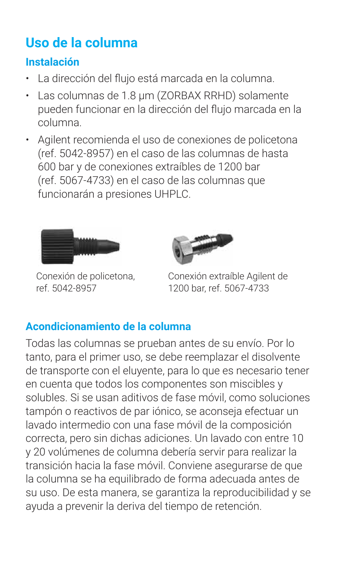# **Uso de la columna**

### **Instalación**

- La dirección del flujo está marcada en la columna.
- Las columnas de 1.8 µm (ZORBAX RRHD) solamente pueden funcionar en la dirección del flujo marcada en la columna.
- Agilent recomienda el uso de conexiones de policetona (ref. 5042-8957) en el caso de las columnas de hasta 600 bar y de conexiones extraíbles de 1200 bar (ref. 5067‑4733) en el caso de las columnas que funcionarán a presiones UHPLC.



Conexión de policetona, ref. 5042-8957



Conexión extraíble Agilent de 1200 bar, ref. 5067-4733

# **Acondicionamiento de la columna**

Todas las columnas se prueban antes de su envío. Por lo tanto, para el primer uso, se debe reemplazar el disolvente de transporte con el eluyente, para lo que es necesario tener en cuenta que todos los componentes son miscibles y solubles. Si se usan aditivos de fase móvil, como soluciones tampón o reactivos de par iónico, se aconseja efectuar un lavado intermedio con una fase móvil de la composición correcta, pero sin dichas adiciones. Un lavado con entre 10 y 20 volúmenes de columna debería servir para realizar la transición hacia la fase móvil. Conviene asegurarse de que la columna se ha equilibrado de forma adecuada antes de su uso. De esta manera, se garantiza la reproducibilidad y se ayuda a prevenir la deriva del tiempo de retención.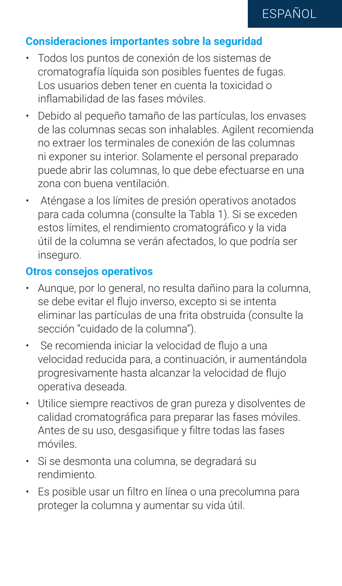### **Consideraciones importantes sobre la seguridad**

- Todos los puntos de conexión de los sistemas de cromatografía líquida son posibles fuentes de fugas. Los usuarios deben tener en cuenta la toxicidad o inflamabilidad de las fases móviles.
- Debido al pequeño tamaño de las partículas, los envases de las columnas secas son inhalables. Agilent recomienda no extraer los terminales de conexión de las columnas ni exponer su interior. Solamente el personal preparado puede abrir las columnas, lo que debe efectuarse en una zona con buena ventilación.
- Aténgase a los límites de presión operativos anotados para cada columna (consulte la Tabla 1). Si se exceden estos límites, el rendimiento cromatográfico y la vida útil de la columna se verán afectados, lo que podría ser inseguro.

## **Otros consejos operativos**

- Aunque, por lo general, no resulta dañino para la columna, se debe evitar el flujo inverso, excepto si se intenta eliminar las partículas de una frita obstruida (consulte la sección "cuidado de la columna").
- Se recomienda iniciar la velocidad de flujo a una velocidad reducida para, a continuación, ir aumentándola progresivamente hasta alcanzar la velocidad de flujo operativa deseada.
- Utilice siempre reactivos de gran pureza y disolventes de calidad cromatográfica para preparar las fases móviles. Antes de su uso, desgasifique y filtre todas las fases móviles.
- Si se desmonta una columna, se degradará su rendimiento.
- Es posible usar un filtro en línea o una precolumna para proteger la columna y aumentar su vida útil.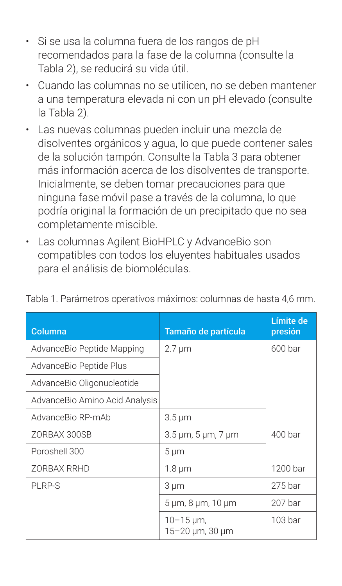- Si se usa la columna fuera de los rangos de pH recomendados para la fase de la columna (consulte la Tabla 2), se reducirá su vida útil.
- Cuando las columnas no se utilicen, no se deben mantener a una temperatura elevada ni con un pH elevado (consulte la Tabla 2).
- Las nuevas columnas pueden incluir una mezcla de disolventes orgánicos y agua, lo que puede contener sales de la solución tampón. Consulte la Tabla 3 para obtener más información acerca de los disolventes de transporte. Inicialmente, se deben tomar precauciones para que ninguna fase móvil pase a través de la columna, lo que podría original la formación de un precipitado que no sea completamente miscible.
- Las columnas Agilent BioHPLC y AdvanceBio son compatibles con todos los eluyentes habituales usados para el análisis de biomoléculas.

| Columna                        | Tamaño de partícula              | Límite de<br>presión |
|--------------------------------|----------------------------------|----------------------|
| AdvanceBio Peptide Mapping     | 2.7 µm                           | 600 bar              |
| AdvanceBio Peptide Plus        |                                  |                      |
| AdvanceBio Oligonucleotide     |                                  |                      |
| AdvanceBio Amino Acid Analysis |                                  |                      |
| AdvanceBio RP-mAb              | $3.5 \,\mathrm{\upmu m}$         |                      |
| ZORBAX 300SB                   | 3.5 µm, 5 µm, 7 µm               | $400$ bar            |
| Poroshell 300                  | $5 \mu m$                        |                      |
| <b>70RBAX RRHD</b>             | $1.8 \mu m$                      | 1200 bar             |
| PI RP-S                        | 3 µm                             | 275 bar              |
|                                | 5 µm, 8 µm, 10 µm                | 207 bar              |
|                                | $10 - 15$ µm,<br>15-20 µm, 30 µm | 103 bar              |

Tabla 1. Parámetros operativos máximos: columnas de hasta 4,6 mm.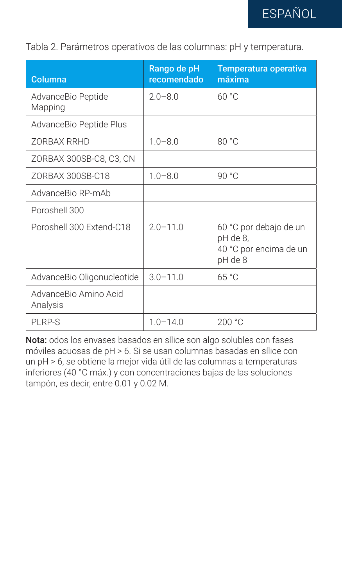Tabla 2. Parámetros operativos de las columnas: pH y temperatura.

| Columna                           | Rango de pH<br>recomendado | Temperatura operativa<br>máxima                                         |
|-----------------------------------|----------------------------|-------------------------------------------------------------------------|
| AdvanceBio Peptide<br>Mapping     | $2.0 - 8.0$                | 60 °C                                                                   |
| AdvanceBio Peptide Plus           |                            |                                                                         |
| ZORBAX RRHD                       | $1.0 - 8.0$                | 80 °C                                                                   |
| ZORBAX 300SB-C8, C3, CN           |                            |                                                                         |
| ZORBAX 300SB-C18                  | $1.0 - 8.0$                | 90 °C                                                                   |
| AdvanceBio RP-mAb                 |                            |                                                                         |
| Poroshell 300                     |                            |                                                                         |
| Poroshell 300 Extend-C18          | $2.0 - 11.0$               | 60 °C por debajo de un<br>pH de 8,<br>40 °C por encima de un<br>pH de 8 |
| AdvanceBio Oligonucleotide        | $3.0 - 11.0$               | 65 °C                                                                   |
| AdvanceBio Amino Acid<br>Analysis |                            |                                                                         |
| PI RP-S                           | $1.0 - 14.0$               | 200 °C                                                                  |

Nota: odos los envases basados en sílice son algo solubles con fases móviles acuosas de pH > 6. Si se usan columnas basadas en sílice con un pH > 6, se obtiene la mejor vida útil de las columnas a temperaturas inferiores (40 °C máx.) y con concentraciones bajas de las soluciones tampón, es decir, entre 0.01 y 0.02 M.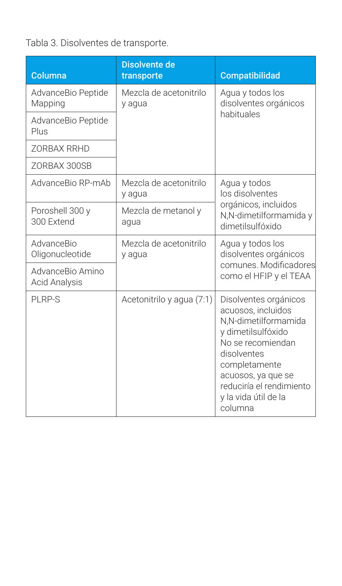Tabla 3. Disolventes de transporte.

| Columna                                  | Disolvente de<br>transporte      | Compatibilidad                                                                                                                                                                                                                      |  |
|------------------------------------------|----------------------------------|-------------------------------------------------------------------------------------------------------------------------------------------------------------------------------------------------------------------------------------|--|
| AdvanceBio Peptide<br>Mapping            | Mezcla de acetonitrilo<br>y agua | Agua y todos los<br>disolventes orgánicos<br>habituales                                                                                                                                                                             |  |
| AdvanceBio Peptide<br>Plus               |                                  |                                                                                                                                                                                                                                     |  |
| ZORBAX RRHD                              |                                  |                                                                                                                                                                                                                                     |  |
| ZORBAX 300SB                             |                                  |                                                                                                                                                                                                                                     |  |
| AdvanceBio RP-mAb                        | Mezcla de acetonitrilo<br>y agua | Agua y todos<br>los disolventes                                                                                                                                                                                                     |  |
| Poroshell 300 y<br>300 Extend            | Mezcla de metanol y<br>agua      | orgánicos, incluidos<br>N,N-dimetilformamida y<br>dimetilsulfóxido                                                                                                                                                                  |  |
| AdvanceBio<br>Oligonucleotide            | Mezcla de acetonitrilo<br>y agua | Agua y todos los<br>disolventes orgánicos<br>comunes. Modificadores<br>como el HFIP y el TEAA                                                                                                                                       |  |
| AdvanceBio Amino<br><b>Acid Analysis</b> |                                  |                                                                                                                                                                                                                                     |  |
| PI RP-S                                  | Acetonitrilo y agua (7:1)        | Disolventes orgánicos<br>acuosos, incluidos<br>N,N-dimetilformamida<br>y dimetilsulfóxido<br>No se recomiendan<br>disolventes<br>completamente<br>acuosos, ya que se<br>reduciría el rendimiento<br>y la vida útil de la<br>columna |  |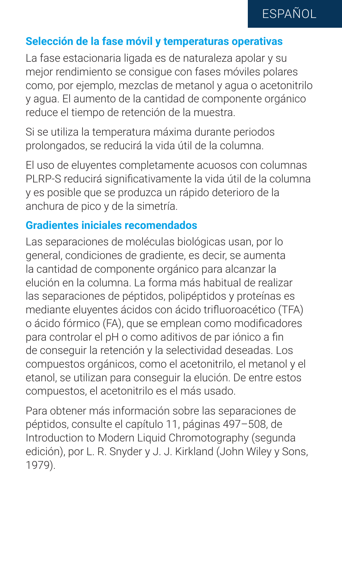#### **Selección de la fase móvil y temperaturas operativas**

La fase estacionaria ligada es de naturaleza apolar y su mejor rendimiento se consigue con fases móviles polares como, por ejemplo, mezclas de metanol y agua o acetonitrilo y agua. El aumento de la cantidad de componente orgánico reduce el tiempo de retención de la muestra.

Si se utiliza la temperatura máxima durante periodos prolongados, se reducirá la vida útil de la columna.

El uso de eluyentes completamente acuosos con columnas PLRP-S reducirá significativamente la vida útil de la columna y es posible que se produzca un rápido deterioro de la anchura de pico y de la simetría.

### **Gradientes iniciales recomendados**

Las separaciones de moléculas biológicas usan, por lo general, condiciones de gradiente, es decir, se aumenta la cantidad de componente orgánico para alcanzar la elución en la columna. La forma más habitual de realizar las separaciones de péptidos, polipéptidos y proteínas es mediante eluyentes ácidos con ácido trifluoroacético (TFA) o ácido fórmico (FA), que se emplean como modificadores para controlar el pH o como aditivos de par iónico a fin de conseguir la retención y la selectividad deseadas. Los compuestos orgánicos, como el acetonitrilo, el metanol y el etanol, se utilizan para conseguir la elución. De entre estos compuestos, el acetonitrilo es el más usado.

Para obtener más información sobre las separaciones de péptidos, consulte el capítulo 11, páginas 497–508, de Introduction to Modern Liquid Chromotography (segunda edición), por L. R. Snyder y J. J. Kirkland (John Wiley y Sons, 1979).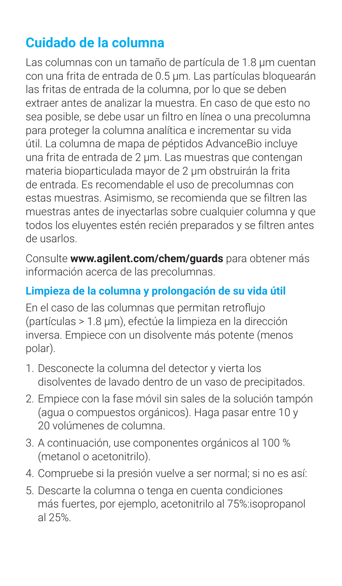# **Cuidado de la columna**

Las columnas con un tamaño de partícula de 1.8 µm cuentan con una frita de entrada de 0.5 µm. Las partículas bloquearán las fritas de entrada de la columna, por lo que se deben extraer antes de analizar la muestra. En caso de que esto no sea posible, se debe usar un filtro en línea o una precolumna para proteger la columna analítica e incrementar su vida útil. La columna de mapa de péptidos AdvanceBio incluye una frita de entrada de 2 µm. Las muestras que contengan materia bioparticulada mayor de 2 µm obstruirán la frita de entrada. Es recomendable el uso de precolumnas con estas muestras. Asimismo, se recomienda que se filtren las muestras antes de inyectarlas sobre cualquier columna y que todos los eluyentes estén recién preparados y se filtren antes de usarlos.

Consulte **www.agilent.com/chem/guards** para obtener más información acerca de las precolumnas.

### **Limpieza de la columna y prolongación de su vida útil**

En el caso de las columnas que permitan retroflujo (partículas > 1.8 µm), efectúe la limpieza en la dirección inversa. Empiece con un disolvente más potente (menos polar).

- 1. Desconecte la columna del detector y vierta los disolventes de lavado dentro de un vaso de precipitados.
- 2. Empiece con la fase móvil sin sales de la solución tampón (agua o compuestos orgánicos). Haga pasar entre 10 y 20 volúmenes de columna.
- 3. A continuación, use componentes orgánicos al 100 % (metanol o acetonitrilo).
- 4. Compruebe si la presión vuelve a ser normal; si no es así:
- 5. Descarte la columna o tenga en cuenta condiciones más fuertes, por ejemplo, acetonitrilo al 75%:isopropanol al 25%.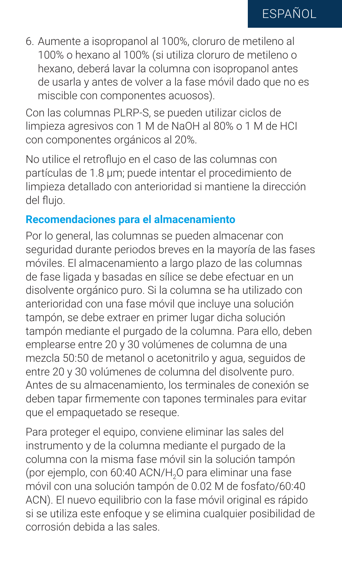6. Aumente a isopropanol al 100%, cloruro de metileno al 100% o hexano al 100% (si utiliza cloruro de metileno o hexano, deberá lavar la columna con isopropanol antes de usarla y antes de volver a la fase móvil dado que no es miscible con componentes acuosos).

Con las columnas PLRP-S, se pueden utilizar ciclos de limpieza agresivos con 1 M de NaOH al 80% o 1 M de HCI con componentes orgánicos al 20%.

No utilice el retroflujo en el caso de las columnas con partículas de 1.8 µm; puede intentar el procedimiento de limpieza detallado con anterioridad si mantiene la dirección del flujo.

#### **Recomendaciones para el almacenamiento**

Por lo general, las columnas se pueden almacenar con seguridad durante periodos breves en la mayoría de las fases móviles. El almacenamiento a largo plazo de las columnas de fase ligada y basadas en sílice se debe efectuar en un disolvente orgánico puro. Si la columna se ha utilizado con anterioridad con una fase móvil que incluye una solución tampón, se debe extraer en primer lugar dicha solución tampón mediante el purgado de la columna. Para ello, deben emplearse entre 20 y 30 volúmenes de columna de una mezcla 50:50 de metanol o acetonitrilo y agua, seguidos de entre 20 y 30 volúmenes de columna del disolvente puro. Antes de su almacenamiento, los terminales de conexión se deben tapar firmemente con tapones terminales para evitar que el empaquetado se reseque.

Para proteger el equipo, conviene eliminar las sales del instrumento y de la columna mediante el purgado de la columna con la misma fase móvil sin la solución tampón (por ejemplo, con 60:40 ACN/H2O para eliminar una fase móvil con una solución tampón de 0.02 M de fosfato/60:40 ACN). El nuevo equilibrio con la fase móvil original es rápido si se utiliza este enfoque y se elimina cualquier posibilidad de corrosión debida a las sales.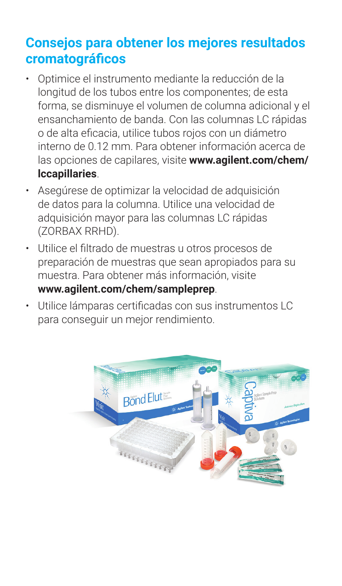# **Consejos para obtener los mejores resultados cromatográficos**

- Optimice el instrumento mediante la reducción de la longitud de los tubos entre los componentes; de esta forma, se disminuye el volumen de columna adicional y el ensanchamiento de banda. Con las columnas LC rápidas o de alta eficacia, utilice tubos rojos con un diámetro interno de 0.12 mm. Para obtener información acerca de las opciones de capilares, visite **www.agilent.com/chem/ lccapillaries**.
- Asegúrese de optimizar la velocidad de adquisición de datos para la columna. Utilice una velocidad de adquisición mayor para las columnas LC rápidas (ZORBAX RRHD).
- Utilice el filtrado de muestras u otros procesos de preparación de muestras que sean apropiados para su muestra. Para obtener más información, visite **www.agilent.com/chem/sampleprep**.
- Utilice lámparas certificadas con sus instrumentos LC para conseguir un mejor rendimiento.

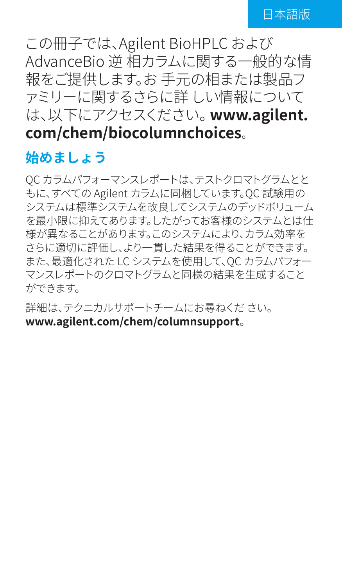この冊子では、Agilent BioHPLC および AdvanceBio 逆 相カラムに関する一般的な情 報をご提供します。お 手元の相または製品フ ァミリーに関するさらに詳 しい情報について は、以下にアクセスください。 **[www.agilent.](http://www.agilent.com/chem/biocolumnchoices) [com/chem/](http://www.agilent.com/chem/biocolumnchoices)biocolumnchoices**。

# **始めましょう**

QC カラムパフォーマンスレポートは、テストクロマトグラムとと もに、すべての Agilent カラムに同梱しています。QC 試験用の システムは標準システムを改良してシステムのデッドボリューム を最小限に抑えてあります。したがってお客様のシステムとは仕 様が異なることがあります。このシステムにより、カラム効率を さらに適切に評価し、より一貫した結果を得ることができます。 また、最適化された LC システムを使用して、QC カラムパフォー マンスレポートのクロマトグラムと同様の結果を生成すること ができます。

詳細は、テクニカルサポートチームにお尋ねくだ さい。 **[www.agilent.com/chem/](http://www.agilent.com/chem/columnsupport)columnsupport**。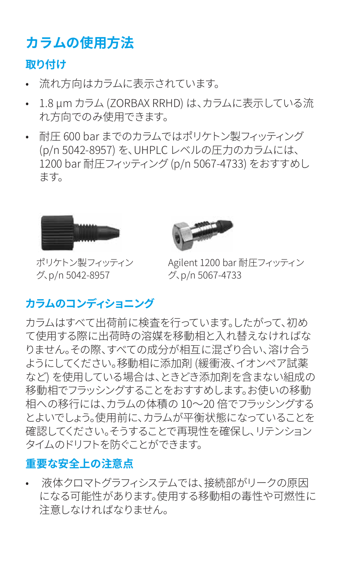# **カラムの使用方法**

# **取り付け**

- 流れ方向はカラムに表示されています。
- 1.8 µm カラム (ZORBAX RRHD) は、カラムに表示している流 れ方向でのみ使用できます。
- 耐圧 600 bar までのカラムではポリケトン製フィッティング (p/n 5042-8957) を、UHPLC レベルの圧力のカラムには、 1200 bar 耐圧フィッティング (p/n 5067-4733) をおすすめし ます。



ポリケトン製フィッティン グ、p/n 5042-8957



Agilent 1200 bar 耐圧フィッティン グ、p/n 5067-4733

# **カラムのコンディショニング**

カラムはすべて出荷前に検査を行っています。したがって、初め て使用する際に出荷時の溶媒を移動相と入れ替えなければな りません。その際、すべての成分が相互に混ざり合い、溶け合う ようにしてください。移動相に添加剤 (緩衝液、イオンペア試薬 など) を使用している場合は、ときどき添加剤を含まない組成の 移動相でフラッシングすることをおすすめします。お使いの移動 相への移行には、カラムの体積の 10〜20 倍でフラッシングする とよいでしょう。使用前に、カラムが平衡状態になっていることを 確認してください。そうすることで再現性を確保し、リテンション タイムのドリフトを防ぐことができます。

## **重要な安全上の注意点**

• 液体クロマトグラフィシステムでは、接続部がリークの原因 になる可能性があります。使用する移動相の毒性や可燃性に 注意しなければなりません。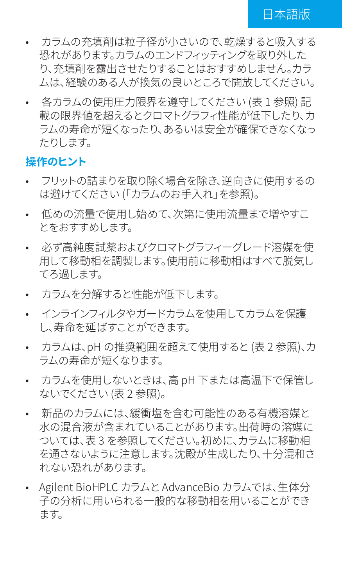- カラムの充填剤は粒子径が小さいので、乾燥すると吸入する 恐れがあります。カラムのエンドフィッティングを取り外した り、充填剤を露出させたりすることはおすすめしません。カラ ムは、経験のある人が換気の良いところで開放してください。
- 各カラムの使用圧力限界を遵守してください (表 1 参照) 記 載の限界値を超えるとクロマトグラフィ性能が低下したり、カ ラムの寿命が短くなったり、あるいは安全が確保できなくなっ たりします。

### **操作のヒント**

- フリットの詰まりを取り除く場合を除き、逆向きに使用するの は避けてください (「カラムのお手入れ」を参照)。
- 低めの流量で使用し始めて、次第に使用流量まで増やすこ とをおすすめします。
- 必ず高純度試薬およびクロマトグラフィーグレード溶媒を使 用して移動相を調製します。使用前に移動相はすべて脱気し てろ過します。
- カラムを分解すると性能が低下します。
- インラインフィルタやガードカラムを使用してカラムを保護 し、寿命を延ばすことができます。
- カラムは、pH の推奨範囲を超えて使用すると (表 2 参照)、カ ラムの寿命が短くなります。
- カラムを使用しないときは、高 pH 下または高温下で保管し ないでください (表 2 参照)。
- 新品のカラムには、緩衝塩を含む可能性のある有機溶媒と 水の混合液が含まれていることがあります。出荷時の溶媒に ついては、表 3 を参照してください。初めに、カラムに移動相 を通さないように注意します。沈殿が生成したり、十分混和さ れない恐れがあります。
- Agilent BioHPLC カラムと AdvanceBio カラムでは、生体分 子の分析に用いられる一般的な移動相を用いることができ ます。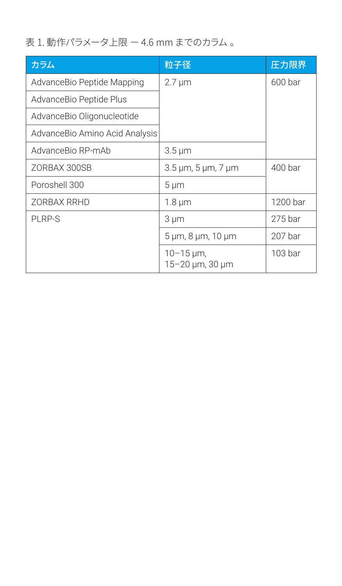表 1. 動作パラメータ上限 − 4.6 mm までのカラム 。

| カラム                            | 粒子径                              | 圧力限界      |
|--------------------------------|----------------------------------|-----------|
| AdvanceBio Peptide Mapping     | $2.7 \mu m$                      | 600 bar   |
| AdvanceBio Peptide Plus        |                                  |           |
| AdvanceBio Oligonucleotide     |                                  |           |
| AdvanceBio Amino Acid Analysis |                                  |           |
| AdvanceBio RP-mAb              | $3.5 \,\mathrm{\upmu m}$         |           |
| ZORBAX 300SB                   | 3.5 µm, 5 µm, 7 µm               | $400$ bar |
| Poroshell 300                  | $5 \mu m$                        |           |
| <b>70RBAX RRHD</b>             | $1.8 \mu m$                      | 1200 bar  |
| PI RP-S                        | $3 \mu m$                        | 275 bar   |
|                                | 5 µm, 8 µm, 10 µm                | 207 bar   |
|                                | $10 - 15$ µm,<br>15-20 µm, 30 µm | 103 bar   |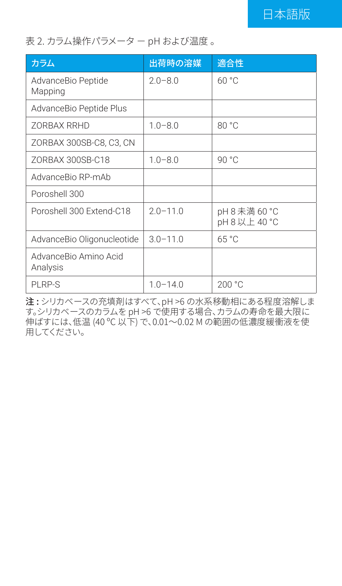表 2. カラム操作パラメータ − pH および温度 。

| カラム                               | 出荷時の溶媒       | 適合性                         |
|-----------------------------------|--------------|-----------------------------|
| AdvanceBio Peptide<br>Mapping     | $2.0 - 8.0$  | 60 °C                       |
| AdvanceBio Peptide Plus           |              |                             |
| <b>70RBAX RRHD</b>                | $1.0 - 8.0$  | 80°C                        |
| ZORBAX 300SB-C8, C3, CN           |              |                             |
| ZORBAX 300SB-C18                  | $1.0 - 8.0$  | 90 °C                       |
| AdvanceBio RP-mAb                 |              |                             |
| Poroshell 300                     |              |                             |
| Poroshell 300 Extend-C18          | $2.0 - 11.0$ | pH8未満60 °C<br>pH 8 以上 40 °C |
| AdvanceBio Oligonucleotide        | $3.0 - 11.0$ | 65°C                        |
| AdvanceBio Amino Acid<br>Analysis |              |                             |
| PI RP-S                           | $1.0 - 14.0$ | 200 °C                      |

注: シリカベースの充填剤はすべて、pH >6 の水系移動相にある程度溶解しま す。シリカベースのカラムを pH >6 で使用する場合、カラムの寿命を最大限に 伸ばすには、低温 (40 ºC 以下) で、0.01〜0.02 M の範囲の低濃度緩衝液を使 用してください。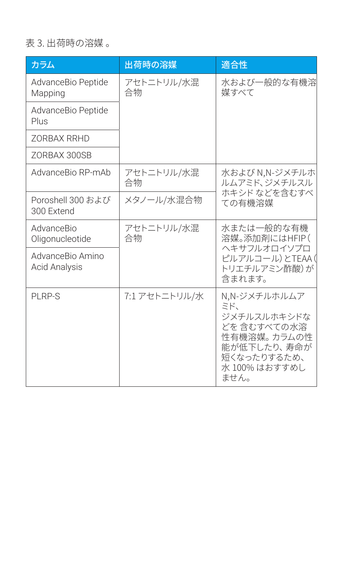## 表 3. 出荷時の溶媒 。

| カラム                                      | 出荷時の溶媒           | 適合性                                                                                                                     |  |
|------------------------------------------|------------------|-------------------------------------------------------------------------------------------------------------------------|--|
| AdvanceBio Peptide<br>Mapping            | アセトニトリル/水混<br>合物 | 水および一般的な有機溶<br>媒すべて                                                                                                     |  |
| AdvanceBio Peptide<br>Plus               |                  |                                                                                                                         |  |
| <b>70RBAX RRHD</b>                       |                  |                                                                                                                         |  |
| 70RBAX 300SB                             |                  |                                                                                                                         |  |
| AdvanceBio RP-mAb                        | アセトニトリル/水混<br>合物 | 水および N,N-ジメチルホ<br>ルムアミド、ジメチルスル                                                                                          |  |
| Poroshell 300 および<br>300 Extend          | メタノール/水混合物       | ホキシド などを含むすべ<br>ての有機溶媒                                                                                                  |  |
| AdvanceBio<br>Oligonucleotide            | アセトニトリル/水混<br>合物 | 水または一般的な有機<br>溶媒。添加剤にはHFIP(                                                                                             |  |
| AdvanceBio Amino<br><b>Acid Analysis</b> |                  | ヘキサフルオロイソプロ<br>ピルアルコール) とTEAA<br>トリエチルアミン酢酸)が<br>含まれます。                                                                 |  |
| PI RP-S                                  | 7:1 アセトニトリル/水    | N.N-ジメチルホルムア<br>ΞK.<br>ジメチルスルホキシドな<br>どを 含むすべての水溶<br>性有機溶媒。カラムの性<br>能が低下したり、寿命が<br>短くなったりするため、<br>水 100% はおすすめし<br>ません。 |  |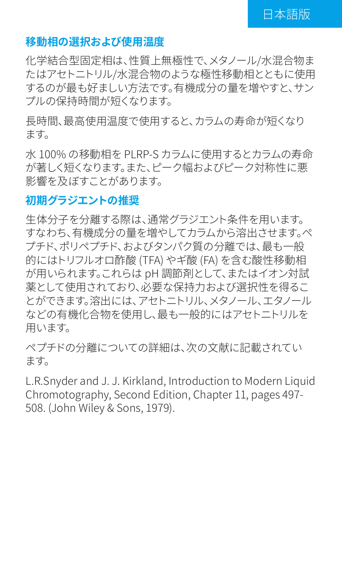#### **移動相の選択および使用温度**

化学結合型固定相は、性質上無極性で、メタノール/水混合物ま たはアセトニトリル/水混合物のような極性移動相とともに使用 するのが最も好ましい方法です。有機成分の量を増やすと、サン プルの保持時間が短くなります。

長時間、最高使用温度で使用すると、カラムの寿命が短くなり ます。

水 100% の移動相を PLRP-S カラムに使用するとカラムの寿命 が著しく短くなります。また、ピーク幅およびピーク対称性に悪 影響を及ぼすことがあります。

#### **初期グラジエントの推奨**

生体分子を分離する際は、通常グラジエント条件を用います。 すなわち、有機成分の量を増やしてカラムから溶出させます。ペ プチド、ポリペプチド、およびタンパク質の分離では、最も一般 的にはトリフルオロ酢酸 (TFA) やギ酸 (FA) を含む酸性移動相 が用いられます。これらは pH 調節剤として、またはイオン対試 薬として使用されており、必要な保持力および選択性を得るこ とができます。溶出には、アセトニトリル、メタノール、エタノール などの有機化合物を使用し、最も一般的にはアセトニトリルを 用います。

ペプチドの分離についての詳細は、次の文献に記載されてい ます。

L.R.Snyder and J. J. Kirkland, Introduction to Modern Liquid Chromotography, Second Edition, Chapter 11, pages 497- 508. (John Wiley & Sons, 1979).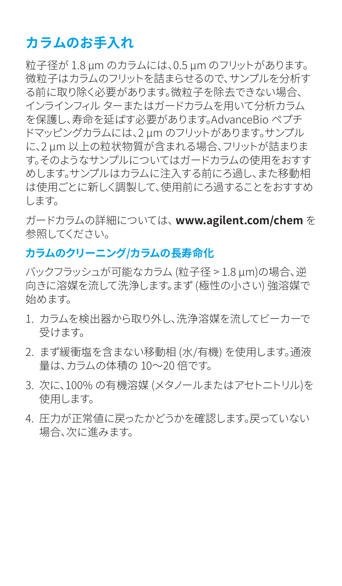# **カラムのお手入れ**

粒子径が 1.8 µm のカラムには、0.5 µm のフリットがあります。 微粒子はカラムのフリットを詰まらせるので、サンプルを分析す る前に取り除く必要があります。微粒子を除去できない場合、 インラインフィル ターまたはガードカラムを用いて分析カラム を保護し、寿命を延ばす必要があります。AdvanceBio ペプチ ドマッピングカラムには、2 µm のフリットがあります。サンプル に、2 µm 以上の粒状物質が含まれる場合、フリットが詰まりま す。そのようなサンプルについてはガードカラムの使用をおすす めします。サンプルはカラムに注入する前にろ過し、また移動相 は使用ごとに新しく調製して、使用前にろ過することをおすすめ します。

ガードカラムの詳細については、 **www.agilent.com/chem** を 参照してください。

### **カラムのクリーニング/カラムの長寿命化**

バックフラッシュが可能なカラム (粒子径 > 1.8 µm)の場合、逆 向きに溶媒を流して洗浄します。まず (極性の小さい) 強溶媒で 始めます。

- 1. カラムを検出器から取り外し、洗浄溶媒を流してビーカーで 受けます。
- 2. まず緩衝塩を含まない移動相 (水/有機) を使用します。通液 量は、カラムの体積の 10〜20 倍です。
- 3. 次に、100% の有機溶媒 (メタノールまたはアセトニトリル)を 使用します。
- 4. 圧力が正常値に戻ったかどうかを確認します。戻っていない 場合、次に進みます。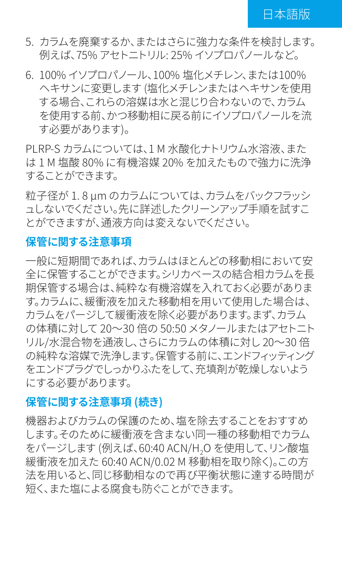- 5. カラムを廃棄するか、またはさらに強力な条件を検討します。 例えば、75% アセトニトリル: 25% イソプロパノールなど。
- 6. 100% イソプロパノール、100% 塩化メチレン、または100% ヘキサンに変更します (塩化メチレンまたはヘキサンを使用 する場合、これらの溶媒は水と混じり合わないので、カラム を使用する前、かつ移動相に戻る前にイソプロパノールを流 す必要があります)。

PLRP-S カラムについては、1 M 水酸化ナトリウム水溶液、また は 1 M 塩酸 80% に有機溶媒 20% を加えたもので強力に洗浄 することができます。

粒子径が 1. 8 µm のカラムについては、カラムをバックフラッシ ュしないでください。先に詳述したクリーンアップ手順を試すこ とができますが、通液方向は変えないでください。

#### **保管に関する注意事項**

一般に短期間であれば、カラムはほとんどの移動相において安 全に保管することができます。シリカベースの結合相カラムを長 期保管する場合は、純粋な有機溶媒を入れておく必要がありま す。カラムに、緩衝液を加えた移動相を用いて使用した場合は、 カラムをパージして緩衝液を除く必要があります。まず、カラム の体積に対して 20〜30 倍の 50:50 メタノールまたはアセトニト リル/水混合物を通液し、さらにカラムの体積に対し 20〜30 倍 の純粋な溶媒で洗浄します。保管する前に、エンドフィッティング をエンドプラグでしっかりふたをして、充填剤が乾燥しないよう にする必要があります。

#### **保管に関する注意事項 (続き)**

機器およびカラムの保護のため、塩を除去することをおすすめ します。そのために緩衝液を含まない同一種の移動相でカラム をパージします (例えば、60:40 ACN/H2O を使用して、リン酸塩 緩衝液を加えた 60:40 ACN/0.02 M 移動相を取り除く)。この方 法を用いると、同じ移動相なので再び平衡状態に達する時間が 短く、また塩による腐食も防ぐことができます。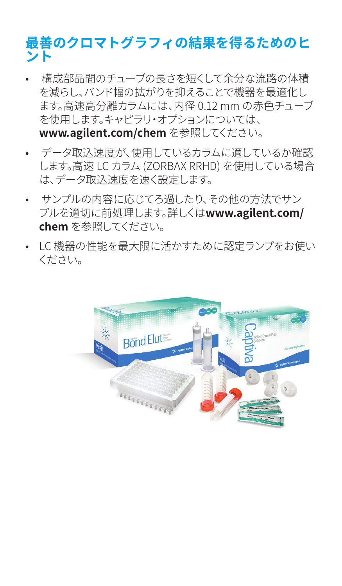# **最善のクロマトグラフィの結果を得るためのヒ ント**

- 構成部品間のチューブの長さを短くして余分な流路の体積 を減らし、バンド幅の拡がりを抑えることで機器を最適化し ます。高速高分離カラムには、内径 0.12 mm の赤色チューブ を使用します。キャピラリ・オプションについては、 **www.agilent.com/chem** を参照してください。
- データ取込速度が、使用しているカラムに適しているか確認 します。高速 LC カラム (ZORBAX RRHD) を使用している場合 は、データ取込速度を速く設定します。
- サンプルの内容に応じてろ過したり、その他の方法でサン プルを適切に前処理します。詳しくは**www.agilent.com/ chem** を参照してください。
- LC 機器の性能を最大限に活かすために認定ランプをお使い ください。

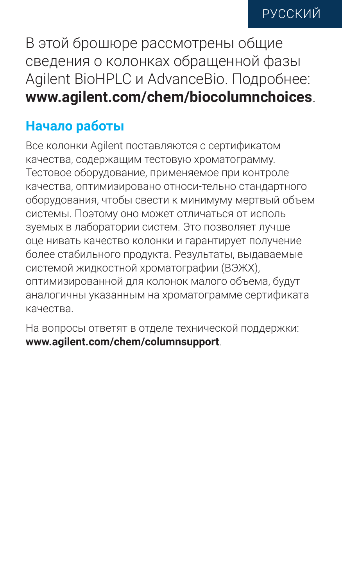В этой брошюре рассмотрены общие сведения о колонках обращенной фазы Agilent BioHPLC и AdvanceBio. Подробнее: **www.agilent.com/chem/biocolumnchoices**.

# **Начало работы**

Все колонки Agilent поставляются с сертификатом качества, содержащим тестовую хроматограмму. Тестовое оборудование, применяемое при контроле качества, оптимизировано относи-тельно стандартного оборудования, чтобы свести к минимуму мертвый объем системы. Поэтому оно может отличаться от исполь зуемых в лаборатории систем. Это позволяет лучше оце нивать качество колонки и гарантирует получение более стабильного продукта. Результаты, выдаваемые системой жидкостной хроматографии (ВЭЖХ), оптимизированной для колонок малого объема, будут аналогичны указанным на хроматограмме сертификата качества.

На вопросы ответят в отделе технической поддержки: **www.agilent.com/chem/columnsupport**.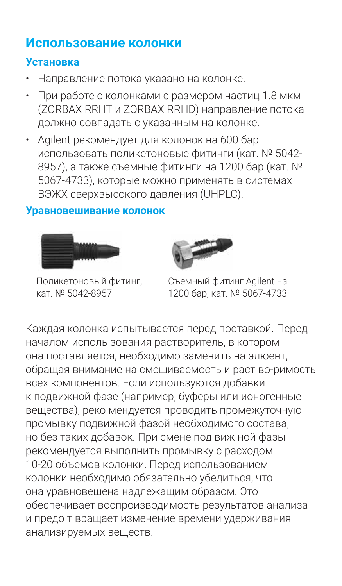# **Использование колонки**

### **Установка**

- Направление потока указано на колонке.
- При работе с колонками с размером частиц 1.8 мкм (ZORBAX RRHT и ZORBAX RRHD) направление потока должно совпадать с указанным на колонке.
- Agilent рекомендует для колонок на 600 бар использовать поликетоновые фитинги (кат. № 5042- 8957), а также съемные фитинги на 1200 бар (кат. № 5067-4733), которые можно применять в системах ВЭЖХ сверхвысокого давления (UHPLC).

### **Уравновешивание колонок**





Поликетоновый фитинг, кат. № 5042-8957

Съемный фитинг Agilent на 1200 бар, кат. № 5067-4733

Каждая колонка испытывается перед поставкой. Перед началом исполь зования растворитель, в котором она поставляется, необходимо заменить на элюент, обращая внимание на смешиваемость и раст во‑римость всех компонентов. Если используются добавки к подвижной фазе (например, буферы или ионогенные вещества), реко мендуется проводить промежуточную промывку подвижной фазой необходимого состава, но без таких добавок. При смене под виж ной фазы рекомендуется выполнить промывку с расходом 10-20 объемов колонки. Перед использованием колонки необходимо обязательно убедиться, что она уравновешена надлежащим образом. Это обеспечивает воспроизводимость результатов анализа и предо т вращает изменение времени удерживания анализируемых веществ.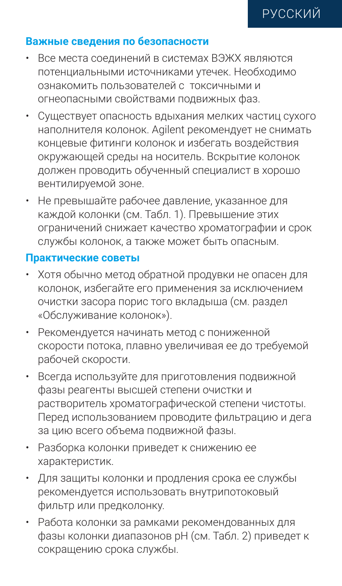#### **Важные сведения по безопасности**

- Все места соединений в системах ВЭЖХ являются потенциальными источниками утечек. Необходимо ознакомить пользователей с токсичными и огнеопасными свойствами подвижных фаз.
- Существует опасность вдыхания мелких частиц сухого наполнителя колонок. Agilent рекомендует не снимать концевые фитинги колонок и избегать воздействия окружающей среды на носитель. Вскрытие колонок должен проводить обученный специалист в хорошо вентилируемой зоне.
- Не превышайте рабочее давление, указанное для каждой колонки (см. Табл. 1). Превышение этих ограничений снижает качество хроматографии и срок службы колонок, а также может быть опасным.

#### **Практические советы**

- Хотя обычно метод обратной продувки не опасен для колонок, избегайте его применения за исключением очистки засора порис того вкладыша (см. раздел «Обслуживание колонок»).
- Рекомендуется начинать метод с пониженной скорости потока, плавно увеличивая ее до требуемой рабочей скорости.
- Всегда используйте для приготовления подвижной фазы реагенты высшей степени очистки и растворитель хроматографической степени чистоты. Перед использованием проводите фильтрацию и дега за цию всего объема подвижной фазы.
- Разборка колонки приведет к снижению ее характеристик.
- Для защиты колонки и продления срока ее службы рекомендуется использовать внутрипотоковый фильтр или предколонку.
- Работа колонки за рамками рекомендованных для фазы колонки диапазонов pH (см. Табл. 2) приведет к сокращению срока службы.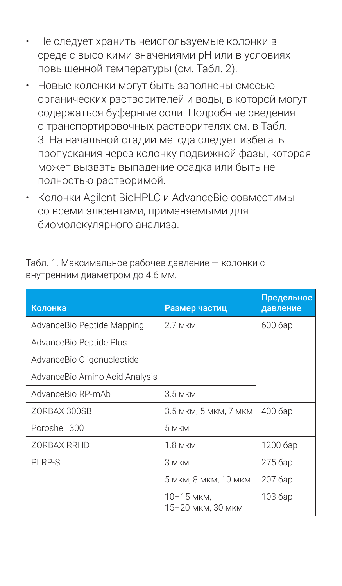- Не следует хранить неиспользуемые колонки в среде с высо кими значениями pH или в условиях повышенной температуры (см. Табл. 2).
- Новые колонки могут быть заполнены смесью органических растворителей и воды, в которой могут содержаться буферные соли. Подробные сведения о транспортировочных растворителях см. в Табл. 3. На начальной стадии метода следует избегать пропускания через колонку подвижной фазы, которая может вызвать выпадение осадка или быть не полностью растворимой.
- Колонки Agilent BioHPLC и AdvanceBio совместимы со всеми элюентами, применяемыми для биомолекулярного анализа.

| Табл. 1. Максимальное рабочее давление – колонки с |  |
|----------------------------------------------------|--|
| внутренним диаметром до 4.6 мм.                    |  |

| Колонка                        | Размер частиц                   | Предельное<br>давление |
|--------------------------------|---------------------------------|------------------------|
| AdvanceBio Peptide Mapping     | 2.7 мкм                         | 600 бар                |
| AdvanceBio Peptide Plus        |                                 |                        |
| AdvanceBio Oligonucleotide     |                                 |                        |
| AdvanceBio Amino Acid Analysis |                                 |                        |
| AdvanceBio RP-mAb              | 3.5 мкм                         |                        |
| ZORBAX 300SB                   | 3.5 мкм, 5 мкм, 7 мкм           | 400 бар                |
| Poroshell 300                  | 5 мкм                           |                        |
| <b>70RBAX RRHD</b>             | 1.8 мкм                         | 1200 бар               |
| PI RP-S                        | 3 мкм                           | 275 бар                |
|                                | 5 мкм, 8 мкм, 10 мкм            | 207 бар                |
|                                | 10-15 мкм.<br>15-20 мкм. 30 мкм | 103 бар                |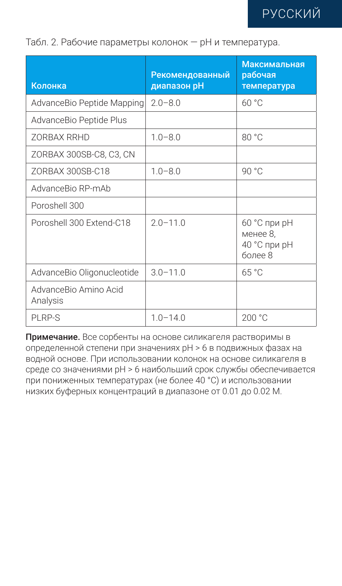РУССКИЙ

Табл. 2. Рабочие параметры колонок — pH и температура.

| Колонка                           | Рекомендованный<br>диапазон рН | <b>Максимальная</b><br>рабочая<br>температура       |
|-----------------------------------|--------------------------------|-----------------------------------------------------|
| AdvanceBio Peptide Mapping        | $2.0 - 8.0$                    | 60 °C                                               |
| AdvanceBio Peptide Plus           |                                |                                                     |
| <b>70RBAX RRHD</b>                | $1.0 - 8.0$                    | 80 °C                                               |
| ZORBAX 300SB-C8, C3, CN           |                                |                                                     |
| ZORBAX 300SB-C18                  | $1.0 - 8.0$                    | 90 °C                                               |
| AdvanceBio RP-mAb                 |                                |                                                     |
| Poroshell 300                     |                                |                                                     |
| Poroshell 300 Extend-C18          | $2.0 - 11.0$                   | 60 °С при рН<br>менее 8,<br>40 °C при pH<br>более 8 |
| AdvanceBio Oligonucleotide        | $3.0 - 11.0$                   | 65 °C                                               |
| AdvanceBio Amino Acid<br>Analysis |                                |                                                     |
| PI RP-S                           | $1.0 - 14.0$                   | 200 °C                                              |

Примечание. Все сорбенты на основе силикагеля растворимы в определенной степени при значениях pH > 6 в подвижных фазах на водной основе. При использовании колонок на основе силикагеля в среде со значениями pH > 6 наибольший срок службы обеспечивается при пониженных температурах (не более 40 °C) и использовании низких буферных концентраций в диапазоне от 0.01 до 0.02 M.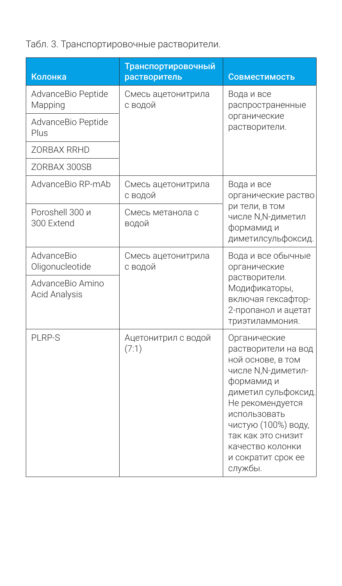Табл. 3. Транспортировочные растворители.

| Колонка                                  | Транспортировочный<br>растворитель | Совместимость                                                                                                                                                                                                                                             |  |
|------------------------------------------|------------------------------------|-----------------------------------------------------------------------------------------------------------------------------------------------------------------------------------------------------------------------------------------------------------|--|
| AdvanceBio Peptide<br>Mapping            | Смесь ацетонитрила<br>с водой      | Вода и все<br>распространенные<br>органические<br>растворители.                                                                                                                                                                                           |  |
| AdvanceBio Peptide<br>Plus               |                                    |                                                                                                                                                                                                                                                           |  |
| <b>70RBAX RRHD</b>                       |                                    |                                                                                                                                                                                                                                                           |  |
| ZORBAX 300SB                             |                                    |                                                                                                                                                                                                                                                           |  |
| AdvanceBio RP-mAb                        | Смесь ацетонитрила<br>с водой      | Вода и все<br>органические раство<br>ри тели, в том<br>числе N,N-диметил<br>формамид и<br>диметилсульфоксид.                                                                                                                                              |  |
| Poroshell 300 и<br>300 Extend            | Смесь метанола с<br>водой          |                                                                                                                                                                                                                                                           |  |
| AdvanceBio<br>Oligonucleotide            | Смесь ацетонитрила<br>с водой      | Вода и все обычные<br>органические                                                                                                                                                                                                                        |  |
| AdvanceBio Amino<br><b>Acid Analysis</b> |                                    | растворители.<br>Модификаторы,<br>включая гексафтор-<br>2-пропанол и ацетат<br>триэтиламмония.                                                                                                                                                            |  |
| PI RP-S                                  | Ацетонитрил с водой<br>(7:1)       | Органические<br>растворители на вод<br>ной основе, в том<br>числе N,N-диметил-<br>формамид и<br>диметил сульфоксид.<br>Не рекомендуется<br>использовать<br>чистую (100%) воду,<br>так как это снизит<br>качество колонки<br>и сократит срок ее<br>службы. |  |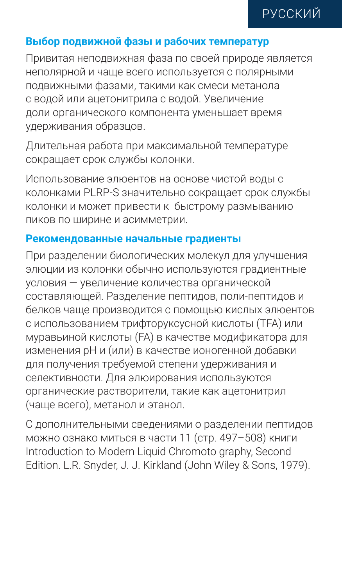#### **Выбор подвижной фазы и рабочих температур**

Привитая неподвижная фаза по своей природе является неполярной и чаще всего используется с полярными подвижными фазами, такими как смеси метанола с водой или ацетонитрила с водой. Увеличение доли органического компонента уменьшает время удерживания образцов.

Длительная работа при максимальной температуре сокращает срок службы колонки.

Использование элюентов на основе чистой воды с колонками PLRP-S значительно сокращает срок службы колонки и может привести к быстрому размыванию пиков по ширине и асимметрии.

#### **Рекомендованные начальные градиенты**

При разделении биологических молекул для улучшения элюции из колонки обычно используются градиентные условия — увеличение количества органической составляющей. Разделение пептидов, поли-пептидов и белков чаще производится с помощью кислых элюентов с использованием трифторуксусной кислоты (TFA) или муравьиной кислоты (FA) в качестве модификатора для изменения pH и (или) в качестве ионогенной добавки для получения требуемой степени удерживания и селективности. Для элюирования используются органические растворители, такие как ацетонитрил (чаще всего), метанол и этанол.

С дополнительными сведениями о разделении пептидов можно ознако миться в части 11 (стр. 497–508) книги Introduction to Modern Liquid Chromoto graphy, Second Edition. L.R. Snyder, J. J. Kirkland (John Wiley & Sons, 1979).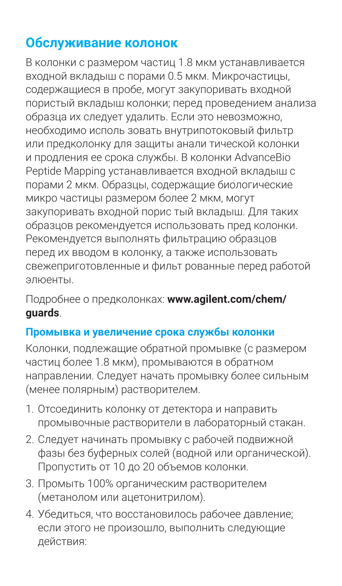## **Обслуживание колонок**

В колонки с размером частиц 1.8 мкм устанавливается входной вкладыш с порами 0.5 мкм. Микрочастицы, содержащиеся в пробе, могут закупоривать входной пористый вкладыш колонки; перед проведением анализа образца их следует удалить. Если это невозможно, необходимо исполь зовать внутрипотоковый фильтр или предколонку для защиты анали тической колонки и продления ее срока службы. В колонки AdvanceBio Peptide Mapping устанавливается входной вкладыш с порами 2 мкм. Образцы, содержащие биологические микро частицы размером более 2 мкм, могут закупоривать входной порис тый вкладыш. Для таких образцов рекомендуется использовать пред колонки. Рекомендуется выполнять фильтрацию образцов перед их вводом в колонку, а также использовать свежеприготовленные и фильт рованные перед работой элюенты.

### Подробнее о предколонках: **www.agilent.com/chem/ guards**.

### **Промывка и увеличение срока службы колонки**

Колонки, подлежащие обратной промывке (с размером частиц более 1.8 мкм), промываются в обратном направлении. Следует начать промывку более сильным (менее полярным) растворителем.

- 1. Отсоединить колонку от детектора и направить промывочные растворители в лабораторный стакан.
- 2. Следует начинать промывку с рабочей подвижной фазы без буферных солей (водной или органической). Пропустить от 10 до 20 объемов колонки.
- 3. Промыть 100% органическим растворителем (метанолом или ацетонитрилом).
- 4. Убедиться, что восстановилось рабочее давление; если этого не произошло, выполнить следующие действия: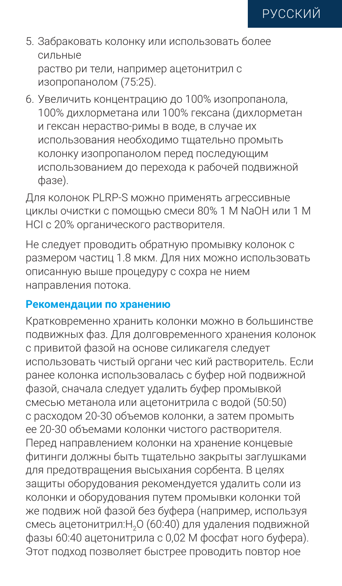- 5. Забраковать колонку или использовать более сильные раство ри тели, например ацетонитрил с изопропанолом (75:25).
- 6. Увеличить концентрацию до 100% изопропанола, 100% дихлорметана или 100% гексана (дихлорметан и гексан нераство-римы в воде, в случае их использования необходимо тщательно промыть колонку изопропанолом перед последующим использованием до перехода к рабочей подвижной фазе).

Для колонок PLRP-S можно применять агрессивные циклы очистки с помощью смеси 80% 1 M NaOH или 1 M HCI с 20% органического растворителя.

Не следует проводить обратную промывку колонок с размером частиц 1.8 мкм. Для них можно использовать описанную выше процедуру с сохра не нием направления потока.

#### **Рекомендации по хранению**

Кратковременно хранить колонки можно в большинстве подвижных фаз. Для долговременного хранения колонок с привитой фазой на основе силикагеля следует использовать чистый органи чес кий растворитель. Если ранее колонка использовалась с буфер ной подвижной фазой, сначала следует удалить буфер промывкой смесью метанола или ацетонитрила с водой (50:50) с расходом 20-30 объемов колонки, а затем промыть ее 20-30 объемами колонки чистого растворителя. Перед направлением колонки на хранение концевые фитинги должны быть тщательно закрыты заглушками для предотвращения высыхания сорбента. В целях защиты оборудования рекомендуется удалить соли из колонки и оборудования путем промывки колонки той же подвиж ной фазой без буфера (например, используя смесь ацетонитрил: H<sub>2</sub>O (60:40) для удаления подвижной фазы 60:40 ацетонитрила с 0,02 М фосфат ного буфера). Этот подход позволяет быстрее проводить повтор ное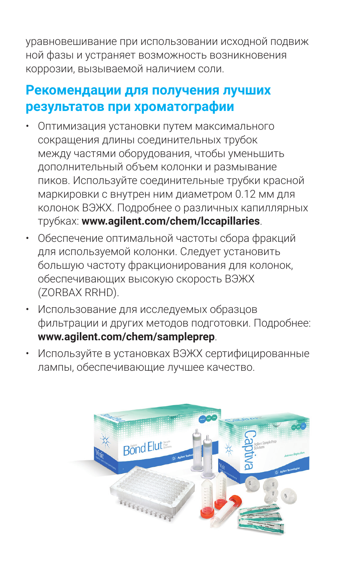уравновешивание при использовании исходной подвиж ной фазы и устраняет возможность возникновения коррозии, вызываемой наличием соли.

## **Рекомендации для получения лучших результатов при хроматографии**

- Оптимизация установки путем максимального сокращения длины соединительных трубок между частями оборудования, чтобы уменьшить дополнительный объем колонки и размывание пиков. Используйте соединительные трубки красной маркировки с внутрен ним диаметром 0.12 мм для колонок ВЭЖХ. Подробнее о различных капиллярных трубках: **www.agilent.com/chem/lccapillaries**.
- Обеспечение оптимальной частоты сбора фракций для используемой колонки. Следует установить большую частоту фракционирования для колонок, обеспечивающих высокую скорость ВЭЖХ (ZORBAX RRHD).
- Использование для исследуемых образцов фильтрации и других методов подготовки. Подробнее: **www.agilent.com/chem/sampleprep**.
- Используйте в установках ВЭЖХ сертифицированные лампы, обеспечивающие лучшее качество.

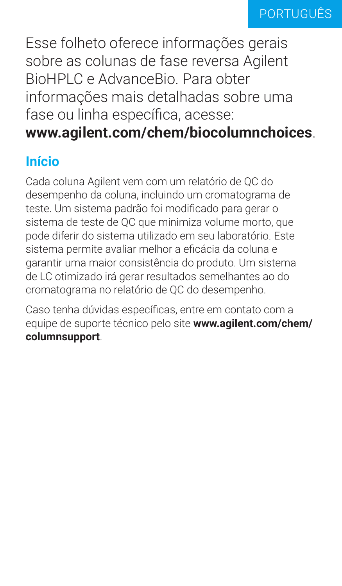Esse folheto oferece informações gerais sobre as colunas de fase reversa Agilent BioHPLC e AdvanceBio. Para obter informações mais detalhadas sobre uma fase ou linha específica, acesse:

# **www.agilent.com/chem/biocolumnchoices**.

# **Início**

Cada coluna Agilent vem com um relatório de QC do desempenho da coluna, incluindo um cromatograma de teste. Um sistema padrão foi modificado para gerar o sistema de teste de QC que minimiza volume morto, que pode diferir do sistema utilizado em seu laboratório. Este sistema permite avaliar melhor a eficácia da coluna e garantir uma maior consistência do produto. Um sistema de LC otimizado irá gerar resultados semelhantes ao do cromatograma no relatório de QC do desempenho.

Caso tenha dúvidas específicas, entre em contato com a equipe de suporte técnico pelo site **[www.agilent.com/chem/](http://www.agilent.com/chem/columnsupport) [columnsupport](http://www.agilent.com/chem/columnsupport)**.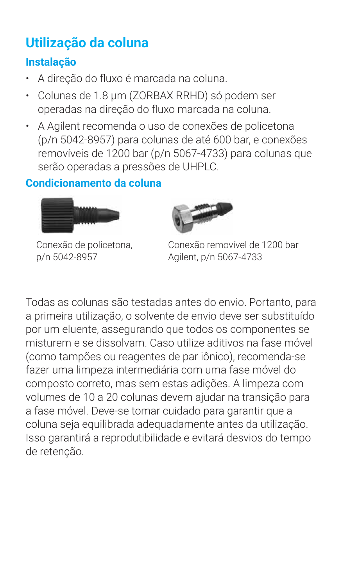# **Utilização da coluna**

## **Instalação**

- A direção do fluxo é marcada na coluna.
- Colunas de 1.8 µm (ZORBAX RRHD) só podem ser operadas na direção do fluxo marcada na coluna.
- A Agilent recomenda o uso de conexões de policetona (p/n 5042-8957) para colunas de até 600 bar, e conexões removíveis de 1200 bar (p/n 5067-4733) para colunas que serão operadas a pressões de UHPLC.

## **Condicionamento da coluna**



Conexão de policetona, p/n 5042-8957



Conexão removível de 1200 bar Agilent, p/n 5067-4733

Todas as colunas são testadas antes do envio. Portanto, para a primeira utilização, o solvente de envio deve ser substituído por um eluente, assegurando que todos os componentes se misturem e se dissolvam. Caso utilize aditivos na fase móvel (como tampões ou reagentes de par iônico), recomenda-se fazer uma limpeza intermediária com uma fase móvel do composto correto, mas sem estas adições. A limpeza com volumes de 10 a 20 colunas devem ajudar na transição para a fase móvel. Deve-se tomar cuidado para garantir que a coluna seja equilibrada adequadamente antes da utilização. Isso garantirá a reprodutibilidade e evitará desvios do tempo de retenção.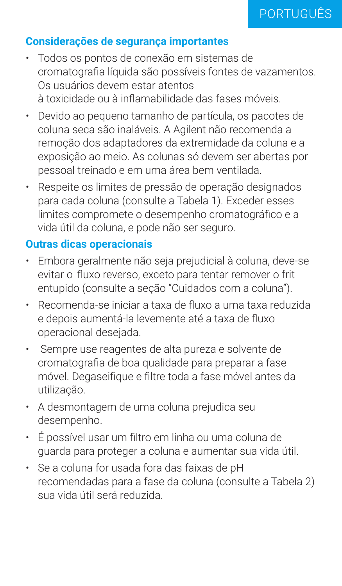### **Considerações de segurança importantes**

- Todos os pontos de conexão em sistemas de cromatografia líquida são possíveis fontes de vazamentos. Os usuários devem estar atentos à toxicidade ou à inflamabilidade das fases móveis.
- Devido ao pequeno tamanho de partícula, os pacotes de coluna seca são inaláveis. A Agilent não recomenda a remoção dos adaptadores da extremidade da coluna e a exposição ao meio. As colunas só devem ser abertas por pessoal treinado e em uma área bem ventilada.
- Respeite os limites de pressão de operação designados para cada coluna (consulte a Tabela 1). Exceder esses limites compromete o desempenho cromatográfico e a vida útil da coluna, e pode não ser seguro.

## **Outras dicas operacionais**

- Embora geralmente não seja prejudicial à coluna, deve-se evitar o fluxo reverso, exceto para tentar remover o frit entupido (consulte a seção "Cuidados com a coluna").
- Recomenda-se iniciar a taxa de fluxo a uma taxa reduzida e depois aumentá-la levemente até a taxa de fluxo operacional desejada.
- Sempre use reagentes de alta pureza e solvente de cromatografia de boa qualidade para preparar a fase móvel. Degaseifique e filtre toda a fase móvel antes da utilização.
- A desmontagem de uma coluna prejudica seu desempenho.
- É possível usar um filtro em linha ou uma coluna de guarda para proteger a coluna e aumentar sua vida útil.
- Se a coluna for usada fora das faixas de pH recomendadas para a fase da coluna (consulte a Tabela 2) sua vida útil será reduzida.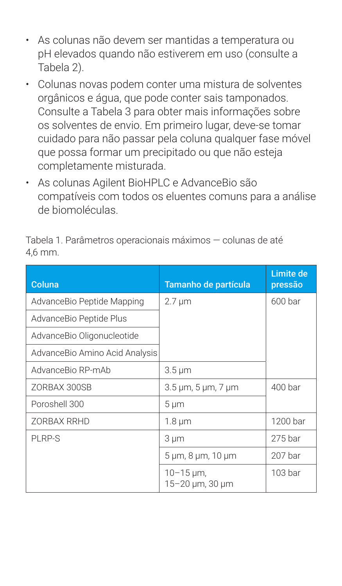- As colunas não devem ser mantidas a temperatura ou pH elevados quando não estiverem em uso (consulte a Tabela 2).
- Colunas novas podem conter uma mistura de solventes orgânicos e água, que pode conter sais tamponados. Consulte a Tabela 3 para obter mais informações sobre os solventes de envio. Em primeiro lugar, deve-se tomar cuidado para não passar pela coluna qualquer fase móvel que possa formar um precipitado ou que não esteja completamente misturada.
- As colunas Agilent BioHPLC e AdvanceBio são compatíveis com todos os eluentes comuns para a análise de biomoléculas.

Tabela 1. Parâmetros operacionais máximos — colunas de até 4,6 mm.

| Coluna                         | Tamanho de partícula                      | Limite de<br>pressão |
|--------------------------------|-------------------------------------------|----------------------|
| AdvanceBio Peptide Mapping     | $2.7 \mu m$                               | 600 bar              |
| AdvanceBio Peptide Plus        |                                           |                      |
| AdvanceBio Oligonucleotide     |                                           |                      |
| AdvanceBio Amino Acid Analysis |                                           |                      |
| AdvanceBio RP-mAb              | $3.5 \,\mathrm{\upmu m}$                  |                      |
| ZORBAX 300SB                   | $3.5 \,\mu m$ , $5 \,\mu m$ , $7 \,\mu m$ | $400$ bar            |
| Poroshell 300                  | $5 \mu m$                                 |                      |
| <b>70RBAX RRHD</b>             | $1.8 \mu m$                               | 1200 bar             |
| PI RP-S                        | $3 \mu m$                                 | 275 bar              |
|                                | 5 µm, 8 µm, 10 µm                         | 207 bar              |
|                                | $10 - 15$ µm,<br>15-20 µm, 30 µm          | 103 <sub>bar</sub>   |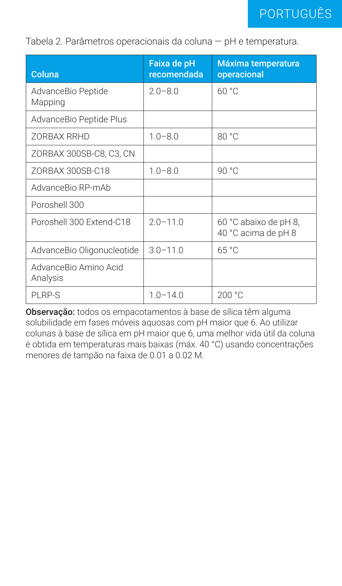Tabela 2. Parâmetros operacionais da coluna — pH e temperatura.

| Coluna                            | Faixa de pH<br>recomendada | Máxima temperatura<br>operacional            |
|-----------------------------------|----------------------------|----------------------------------------------|
| AdvanceBio Peptide<br>Mapping     | $2.0 - 8.0$                | 60 °C                                        |
| AdvanceBio Peptide Plus           |                            |                                              |
| ZORBAX RRHD                       | $1.0 - 8.0$                | 80 °C                                        |
| ZORBAX 300SB-C8, C3, CN           |                            |                                              |
| ZORBAX 300SB-C18                  | $1.0 - 8.0$                | 90 °C                                        |
| AdvanceBio RP-mAb                 |                            |                                              |
| Poroshell 300                     |                            |                                              |
| Poroshell 300 Extend-C18          | $2.0 - 11.0$               | 60 °C abaixo de pH 8,<br>40 °C acima de pH 8 |
| AdvanceBio Oligonucleotide        | $3.0 - 11.0$               | 65 °C                                        |
| AdvanceBio Amino Acid<br>Analysis |                            |                                              |
| PI RP-S                           | $1.0 - 14.0$               | 200 °C                                       |

Observação: todos os empacotamentos à base de sílica têm alguma solubilidade em fases móveis aquosas com pH maior que 6. Ao utilizar colunas à base de sílica em pH maior que 6, uma melhor vida útil da coluna é obtida em temperaturas mais baixas (máx. 40 °C) usando concentrações menores de tampão na faixa de 0.01 a 0.02 M.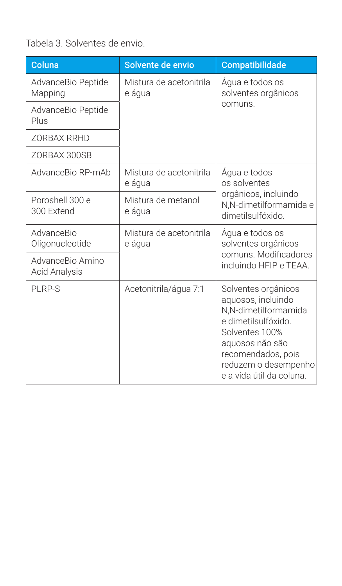Tabela 3. Solventes de envio.

| Coluna                                   | Solvente de envio                 | <b>Compatibilidade</b>                                                                                                                                                                                  |  |
|------------------------------------------|-----------------------------------|---------------------------------------------------------------------------------------------------------------------------------------------------------------------------------------------------------|--|
| AdvanceBio Peptide<br>Mapping            | Mistura de acetonitrila<br>e água | Agua e todos os<br>solventes orgânicos<br>comuns.                                                                                                                                                       |  |
| AdvanceBio Peptide<br>Plus               |                                   |                                                                                                                                                                                                         |  |
| <b>70RBAX RRHD</b>                       |                                   |                                                                                                                                                                                                         |  |
| ZORBAX 300SB                             |                                   |                                                                                                                                                                                                         |  |
| AdvanceBio RP-mAb                        | Mistura de acetonitrila<br>e água | Agua e todos<br>os solventes                                                                                                                                                                            |  |
| Poroshell 300 e<br>300 Extend            | Mistura de metanol<br>e água      | orgânicos, incluindo<br>N.N-dimetilformamida e<br>dimetilsulfóxido.                                                                                                                                     |  |
| AdvanceBio<br>Oligonucleotide            | Mistura de acetonitrila<br>e água | Água e todos os<br>solventes orgânicos                                                                                                                                                                  |  |
| AdvanceBio Amino<br><b>Acid Analysis</b> |                                   | comuns. Modificadores<br>incluindo HFIP e TFAA.                                                                                                                                                         |  |
| PI RP-S                                  | Acetonitrila/água 7:1             | Solventes orgânicos<br>aguosos, incluindo<br>N.N-dimetilformamida<br>e dimetilsulfóxido.<br>Solventes 100%<br>aguosos não são<br>recomendados, pois<br>reduzem o desempenho<br>e a vida útil da coluna. |  |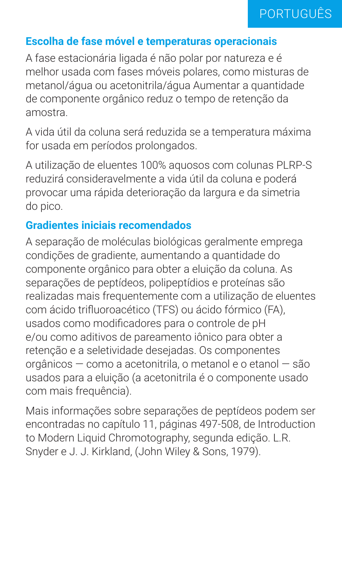#### **Escolha de fase móvel e temperaturas operacionais**

A fase estacionária ligada é não polar por natureza e é melhor usada com fases móveis polares, como misturas de metanol/água ou acetonitrila/água Aumentar a quantidade de componente orgânico reduz o tempo de retenção da amostra.

A vida útil da coluna será reduzida se a temperatura máxima for usada em períodos prolongados.

A utilização de eluentes 100% aquosos com colunas PLRP-S reduzirá consideravelmente a vida útil da coluna e poderá provocar uma rápida deterioração da largura e da simetria do pico.

## **Gradientes iniciais recomendados**

A separação de moléculas biológicas geralmente emprega condições de gradiente, aumentando a quantidade do componente orgânico para obter a eluição da coluna. As separações de peptídeos, polipeptídios e proteínas são realizadas mais frequentemente com a utilização de eluentes com ácido trifluoroacético (TFS) ou ácido fórmico (FA), usados como modificadores para o controle de pH e/ou como aditivos de pareamento iônico para obter a retenção e a seletividade desejadas. Os componentes orgânicos — como a acetonitrila, o metanol e o etanol — são usados para a eluição (a acetonitrila é o componente usado com mais frequência).

Mais informações sobre separações de peptídeos podem ser encontradas no capítulo 11, páginas 497-508, de Introduction to Modern Liquid Chromotography, segunda edição. L.R. Snyder e J. J. Kirkland, (John Wiley & Sons, 1979).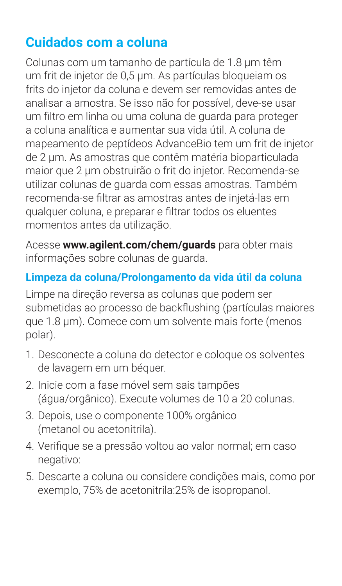## **Cuidados com a coluna**

Colunas com um tamanho de partícula de 1.8 µm têm um frit de injetor de 0,5 µm. As partículas bloqueiam os frits do injetor da coluna e devem ser removidas antes de analisar a amostra. Se isso não for possível, deve-se usar um filtro em linha ou uma coluna de guarda para proteger a coluna analítica e aumentar sua vida útil. A coluna de mapeamento de peptídeos AdvanceBio tem um frit de injetor de 2 µm. As amostras que contêm matéria bioparticulada maior que 2 μm obstruirão o frit do injetor. Recomenda-se utilizar colunas de guarda com essas amostras. Também recomenda-se filtrar as amostras antes de injetá-las em qualquer coluna, e preparar e filtrar todos os eluentes momentos antes da utilização.

Acesse **www.agilent.com/chem/guards** para obter mais informações sobre colunas de guarda.

## **Limpeza da coluna/Prolongamento da vida útil da coluna**

Limpe na direção reversa as colunas que podem ser submetidas ao processo de backflushing (partículas maiores que 1.8 µm). Comece com um solvente mais forte (menos polar).

- 1. Desconecte a coluna do detector e coloque os solventes de lavagem em um béquer.
- 2. Inicie com a fase móvel sem sais tampões (água/orgânico). Execute volumes de 10 a 20 colunas.
- 3. Depois, use o componente 100% orgânico (metanol ou acetonitrila).
- 4. Verifique se a pressão voltou ao valor normal; em caso negativo:
- 5. Descarte a coluna ou considere condições mais, como por exemplo, 75% de acetonitrila:25% de isopropanol.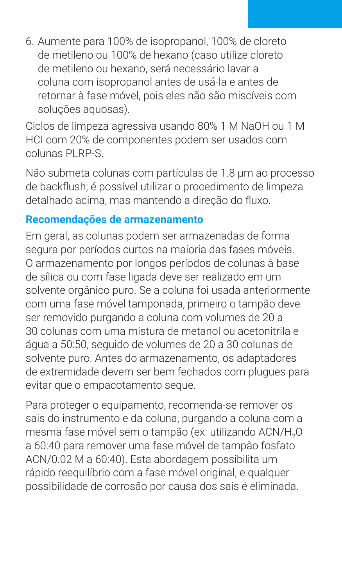6. Aumente para 100% de isopropanol, 100% de cloreto de metileno ou 100% de hexano (caso utilize cloreto de metileno ou hexano, será necessário lavar a coluna com isopropanol antes de usá-la e antes de retornar à fase móvel, pois eles não são miscíveis com soluções aquosas).

Ciclos de limpeza agressiva usando 80% 1 M NaOH ou 1 M HCI com 20% de componentes podem ser usados com colunas PLRP-S.

Não submeta colunas com partículas de 1.8 µm ao processo de backflush; é possível utilizar o procedimento de limpeza detalhado acima, mas mantendo a direção do fluxo.

### **Recomendações de armazenamento**

Em geral, as colunas podem ser armazenadas de forma segura por períodos curtos na maioria das fases móveis. O armazenamento por longos períodos de colunas à base de sílica ou com fase ligada deve ser realizado em um solvente orgânico puro. Se a coluna foi usada anteriormente com uma fase móvel tamponada, primeiro o tampão deve ser removido purgando a coluna com volumes de 20 a 30 colunas com uma mistura de metanol ou acetonitrila e água a 50:50, seguido de volumes de 20 a 30 colunas de solvente puro. Antes do armazenamento, os adaptadores de extremidade devem ser bem fechados com plugues para evitar que o empacotamento seque.

Para proteger o equipamento, recomenda-se remover os sais do instrumento e da coluna, purgando a coluna com a mesma fase móvel sem o tampão (ex: utilizando ACN/H<sub>2</sub>O a 60:40 para remover uma fase móvel de tampão fosfato ACN/0.02 M a 60:40). Esta abordagem possibilita um rápido reequilíbrio com a fase móvel original, e qualquer possibilidade de corrosão por causa dos sais é eliminada.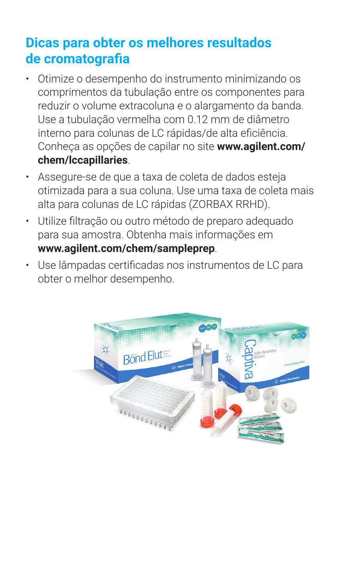## **Dicas para obter os melhores resultados de cromatografia**

- Otimize o desempenho do instrumento minimizando os comprimentos da tubulação entre os componentes para reduzir o volume extracoluna e o alargamento da banda. Use a tubulação vermelha com 0.12 mm de diâmetro interno para colunas de LC rápidas/de alta eficiência. Conheça as opções de capilar no site **www.agilent.com/ chem/lccapillaries**.
- Assegure-se de que a taxa de coleta de dados esteja otimizada para a sua coluna. Use uma taxa de coleta mais alta para colunas de LC rápidas (ZORBAX RRHD).
- Utilize filtração ou outro método de preparo adequado para sua amostra. Obtenha mais informações em **www.agilent.com/chem/sampleprep**.
- Use lâmpadas certificadas nos instrumentos de LC para obter o melhor desempenho.

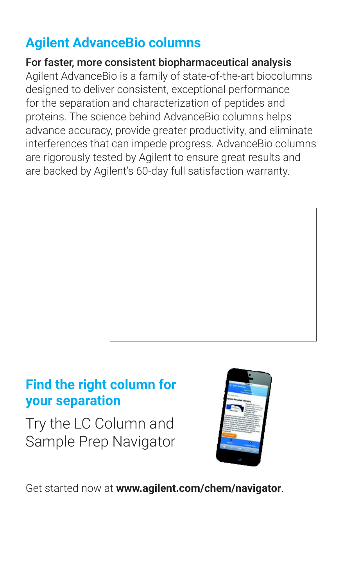# **Agilent AdvanceBio columns**

## For faster, more consistent biopharmaceutical analysis

Agilent AdvanceBio is a family of state-of-the-art biocolumns designed to deliver consistent, exceptional performance for the separation and characterization of peptides and proteins. The science behind AdvanceBio columns helps advance accuracy, provide greater productivity, and eliminate interferences that can impede progress. AdvanceBio columns are rigorously tested by Agilent to ensure great results and are backed by Agilent's 60-day full satisfaction warranty.



## **Find the right column for your separation**

Try the LC Column and Sample Prep Navigator



Get started now at **[www.agilent.com/chem/navigator](http://www.agilent.com/chem/navigator)**.